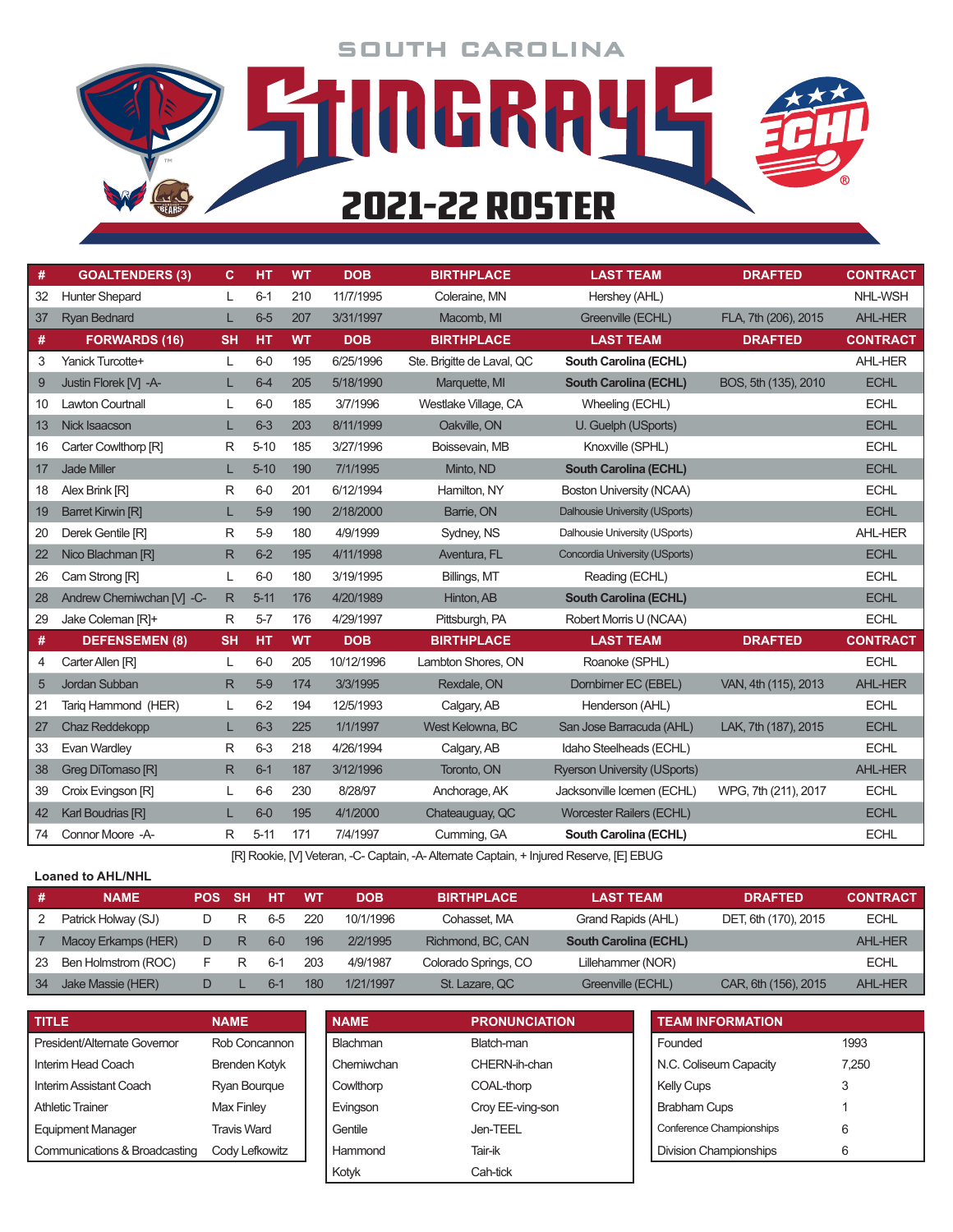**SOUTH CAROLINA** 

**STUDGRRYL** 

2021-22 ROSTER

| #  | <b>GOALTENDERS (3)</b>     | C.        | HT       | <b>WT</b> | <b>DOB</b> | <b>BIRTHPLACE</b>          | <b>LAST TEAM</b>                    | <b>DRAFTED</b>       | <b>CONTRACT</b> |
|----|----------------------------|-----------|----------|-----------|------------|----------------------------|-------------------------------------|----------------------|-----------------|
| 32 | <b>Hunter Shepard</b>      | L         | $6 - 1$  | 210       | 11/7/1995  | Coleraine, MN              | Hershey (AHL)                       |                      | NHL-WSH         |
| 37 | <b>Ryan Bednard</b>        | L         | $6-5$    | 207       | 3/31/1997  | Macomb. MI                 | Greenville (ECHL)                   | FLA, 7th (206), 2015 | <b>AHL-HER</b>  |
| #  | <b>FORWARDS (16)</b>       | <b>SH</b> | HT       | <b>WT</b> | <b>DOB</b> | <b>BIRTHPLACE</b>          | <b>LAST TEAM</b>                    | <b>DRAFTED</b>       | <b>CONTRACT</b> |
| 3  | Yanick Turcotte+           | L         | $6-0$    | 195       | 6/25/1996  | Ste. Brigitte de Laval, QC | South Carolina (ECHL)               |                      | <b>AHL-HER</b>  |
| 9  | Justin Florek M -A-        | L         | $6-4$    | 205       | 5/18/1990  | Marquette, MI              | <b>South Carolina (ECHL)</b>        | BOS, 5th (135), 2010 | <b>ECHL</b>     |
| 10 | <b>Lawton Courtnall</b>    | L         | $6-0$    | 185       | 3/7/1996   | Westlake Village, CA       | Wheeling (ECHL)                     |                      | <b>ECHL</b>     |
| 13 | Nick Isaacson              | L         | $6 - 3$  | 203       | 8/11/1999  | Oakville, ON               | U. Guelph (USports)                 |                      | <b>ECHL</b>     |
| 16 | Carter Cowlthorp [R]       | R         | $5 - 10$ | 185       | 3/27/1996  | Boissevain, MB             | Knoxville (SPHL)                    |                      | <b>ECHL</b>     |
| 17 | <b>Jade Miller</b>         | L         | $5 - 10$ | 190       | 7/1/1995   | Minto, ND                  | <b>South Carolina (ECHL)</b>        |                      | <b>ECHL</b>     |
| 18 | Alex Brink [R]             | R         | $6-0$    | 201       | 6/12/1994  | Hamilton, NY               | Boston University (NCAA)            |                      | <b>ECHL</b>     |
| 19 | <b>Barret Kirwin [R]</b>   | L         | $5-9$    | 190       | 2/18/2000  | Barrie, ON                 | Dalhousie University (USports)      |                      | <b>ECHL</b>     |
| 20 | Derek Gentile [R]          | R         | $5-9$    | 180       | 4/9/1999   | Sydney, NS                 | Dalhousie University (USports)      |                      | AHL-HER         |
| 22 | Nico Blachman [R]          | R         | $6-2$    | 195       | 4/11/1998  | Aventura, FL               | Concordia University (USports)      |                      | <b>ECHL</b>     |
| 26 | Cam Strong [R]             | L         | $6-0$    | 180       | 3/19/1995  | Billings, MT               | Reading (ECHL)                      |                      | <b>ECHL</b>     |
| 28 | Andrew Cherniwchan [V] -C- | R         | $5 - 11$ | 176       | 4/20/1989  | Hinton, AB                 | <b>South Carolina (ECHL)</b>        |                      | <b>ECHL</b>     |
| 29 | Jake Coleman [R]+          | R         | $5 - 7$  | 176       | 4/29/1997  | Pittsburgh, PA             | Robert Morris U (NCAA)              |                      | <b>ECHL</b>     |
| #  | <b>DEFENSEMEN (8)</b>      | <b>SH</b> | HT       | <b>WT</b> | <b>DOB</b> | <b>BIRTHPLACE</b>          | <b>LAST TEAM</b>                    | <b>DRAFTED</b>       | <b>CONTRACT</b> |
| 4  | Carter Allen [R]           | L         | $6-0$    | 205       | 10/12/1996 | Lambton Shores, ON         | Roanoke (SPHL)                      |                      | <b>ECHL</b>     |
| 5  | Jordan Subban              | R         | $5-9$    | 174       | 3/3/1995   | Rexdale, ON                | Dombimer EC (EBEL)                  | VAN, 4th (115), 2013 | <b>AHL-HER</b>  |
| 21 | Tarig Hammond (HER)        | L         | $6-2$    | 194       | 12/5/1993  | Calgary, AB                | Henderson (AHL)                     |                      | <b>ECHL</b>     |
| 27 | <b>Chaz Reddekopp</b>      | L         | $6 - 3$  | 225       | 1/1/1997   | West Kelowna, BC           | San Jose Barracuda (AHL)            | LAK, 7th (187), 2015 | <b>ECHL</b>     |
| 33 | Evan Wardley               | R         | $6 - 3$  | 218       | 4/26/1994  | Calgary, AB                | Idaho Steelheads (ECHL)             |                      | <b>ECHL</b>     |
| 38 | Greg DiTomaso [R]          | R         | $6 - 1$  | 187       | 3/12/1996  | Toronto, ON                | <b>Ryerson University (USports)</b> |                      | <b>AHL-HER</b>  |
| 39 | Croix Evingson [R]         | L         | $6-6$    | 230       | 8/28/97    | Anchorage, AK              | Jacksonville Icemen (ECHL)          | WPG, 7th (211), 2017 | <b>ECHL</b>     |
| 42 | Karl Boudrias [R]          | L         | $6-0$    | 195       | 4/1/2000   | Chateauguay, QC            | <b>Worcester Railers (ECHL)</b>     |                      | <b>ECHL</b>     |
| 74 | Connor Moore -A-           | R         | $5 - 11$ | 171       | 7/4/1997   | Cumming, GA                | South Carolina (ECHL)               |                      | <b>ECHL</b>     |

[R] Rookie, [V] Veteran, -C- Captain, -A- Alternate Captain, + Injured Reserve, [E] EBUG

#### **Loaned to AHL/NHL**

| .# | <b>NAME</b>         | POS | <b>SH</b> | HT    | WT  | <b>DOB</b> | <b>BIRTHPLACE</b>    | <b>LAST TEAM</b>             | <b>DRAFTED</b>       | <b>CONTRACT</b> |
|----|---------------------|-----|-----------|-------|-----|------------|----------------------|------------------------------|----------------------|-----------------|
|    | Patrick Holway (SJ) | D   | R         | 6-5   | 220 | 10/1/1996  | Cohasset. MA         | Grand Rapids (AHL)           | DET, 6th (170), 2015 | <b>ECHL</b>     |
|    | Macoy Erkamps (HER) | D   | R         | $6-0$ | 196 | 2/2/1995   | Richmond, BC, CAN    | <b>South Carolina (ECHL)</b> |                      | <b>AHL-HER</b>  |
| 23 | Ben Holmstrom (ROC) |     | R         | $6-1$ | 203 | 4/9/1987   | Colorado Springs, CO | Lillehammer (NOR)            |                      | <b>ECHL</b>     |
| 34 | Jake Massie (HER)   |     |           | $6-1$ | 180 | 1/21/1997  | St. Lazare, QC       | Greenville (ECHL)            | CAR, 6th (156), 2015 | <b>AHL-HER</b>  |

| <b>TITLE</b>                  | <b>NAME</b>          | <b>NAME</b> | <b>PRONUNCIATION</b> | <b>TEAM INFORMATION</b>  |       |
|-------------------------------|----------------------|-------------|----------------------|--------------------------|-------|
| President/Alternate Governor  | Rob Concannon        | Blachman    | Blatch-man           | Founded                  | 1993  |
| Interim Head Coach            | <b>Brenden Kotyk</b> | Chemiwchan  | CHERN-ih-chan        | N.C. Coliseum Capacity   | 7.250 |
| Interim Assistant Coach       | Ryan Bourque         | Cowlthorp   | COAL-thorp           | <b>Kelly Cups</b>        | 3     |
| <b>Athletic Trainer</b>       | Max Finley           | Evingson    | Croy EE-ving-son     | <b>Brabham Cups</b>      |       |
| <b>Equipment Manager</b>      | Travis Ward          | Gentile     | Jen-TEEL             | Conference Championships | 6     |
| Communications & Broadcasting | Cody Lefkowitz       | Hammond     | Tair-ik              | Division Championships   | 6     |
|                               |                      | Kotyk       | Cah-tick             |                          |       |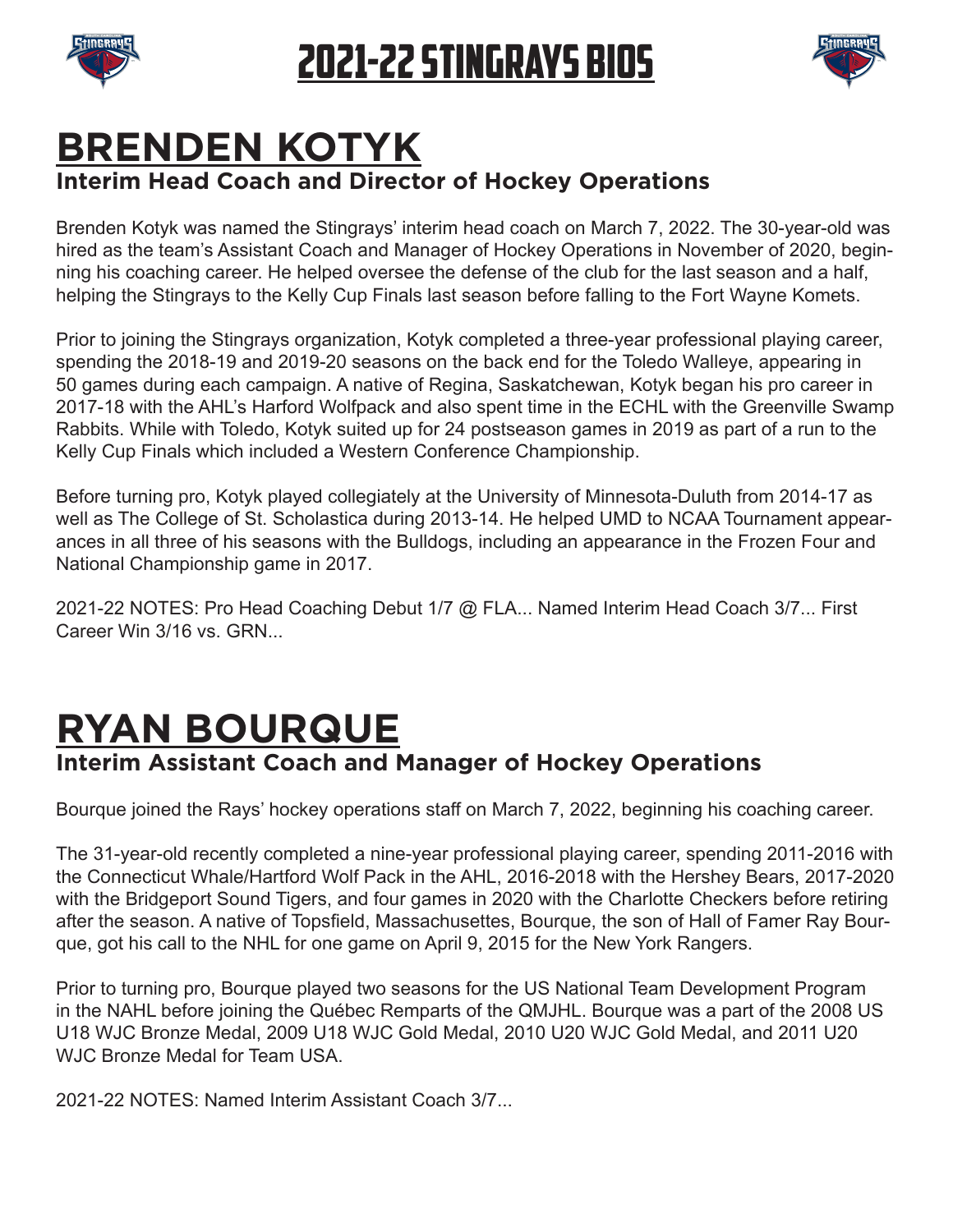



#### **BRENDEN KOTYK Interim Head Coach and Director of Hockey Operations**

Brenden Kotyk was named the Stingrays' interim head coach on March 7, 2022. The 30-year-old was hired as the team's Assistant Coach and Manager of Hockey Operations in November of 2020, beginning his coaching career. He helped oversee the defense of the club for the last season and a half, helping the Stingrays to the Kelly Cup Finals last season before falling to the Fort Wayne Komets.

Prior to joining the Stingrays organization, Kotyk completed a three-year professional playing career, spending the 2018-19 and 2019-20 seasons on the back end for the Toledo Walleye, appearing in 50 games during each campaign. A native of Regina, Saskatchewan, Kotyk began his pro career in 2017-18 with the AHL's Harford Wolfpack and also spent time in the ECHL with the Greenville Swamp Rabbits. While with Toledo, Kotyk suited up for 24 postseason games in 2019 as part of a run to the Kelly Cup Finals which included a Western Conference Championship.

Before turning pro, Kotyk played collegiately at the University of Minnesota-Duluth from 2014-17 as well as The College of St. Scholastica during 2013-14. He helped UMD to NCAA Tournament appearances in all three of his seasons with the Bulldogs, including an appearance in the Frozen Four and National Championship game in 2017.

2021-22 NOTES: Pro Head Coaching Debut 1/7 @ FLA... Named Interim Head Coach 3/7... First Career Win 3/16 vs. GRN...

# **RYAN BOURQUE**

#### **Interim Assistant Coach and Manager of Hockey Operations**

Bourque joined the Rays' hockey operations staff on March 7, 2022, beginning his coaching career.

The 31-year-old recently completed a nine-year professional playing career, spending 2011-2016 with the Connecticut Whale/Hartford Wolf Pack in the AHL, 2016-2018 with the Hershey Bears, 2017-2020 with the Bridgeport Sound Tigers, and four games in 2020 with the Charlotte Checkers before retiring after the season. A native of Topsfeld, Massachusettes, Bourque, the son of Hall of Famer Ray Bourque, got his call to the NHL for one game on April 9, 2015 for the New York Rangers.

Prior to turning pro, Bourque played two seasons for the US National Team Development Program in the NAHL before joining the Québec Remparts of the QMJHL. Bourque was a part of the 2008 US U18 WJC Bronze Medal, 2009 U18 WJC Gold Medal, 2010 U20 WJC Gold Medal, and 2011 U20 WJC Bronze Medal for Team USA

2021-22 NOTES: Named Interim Assistant Coach 3/7...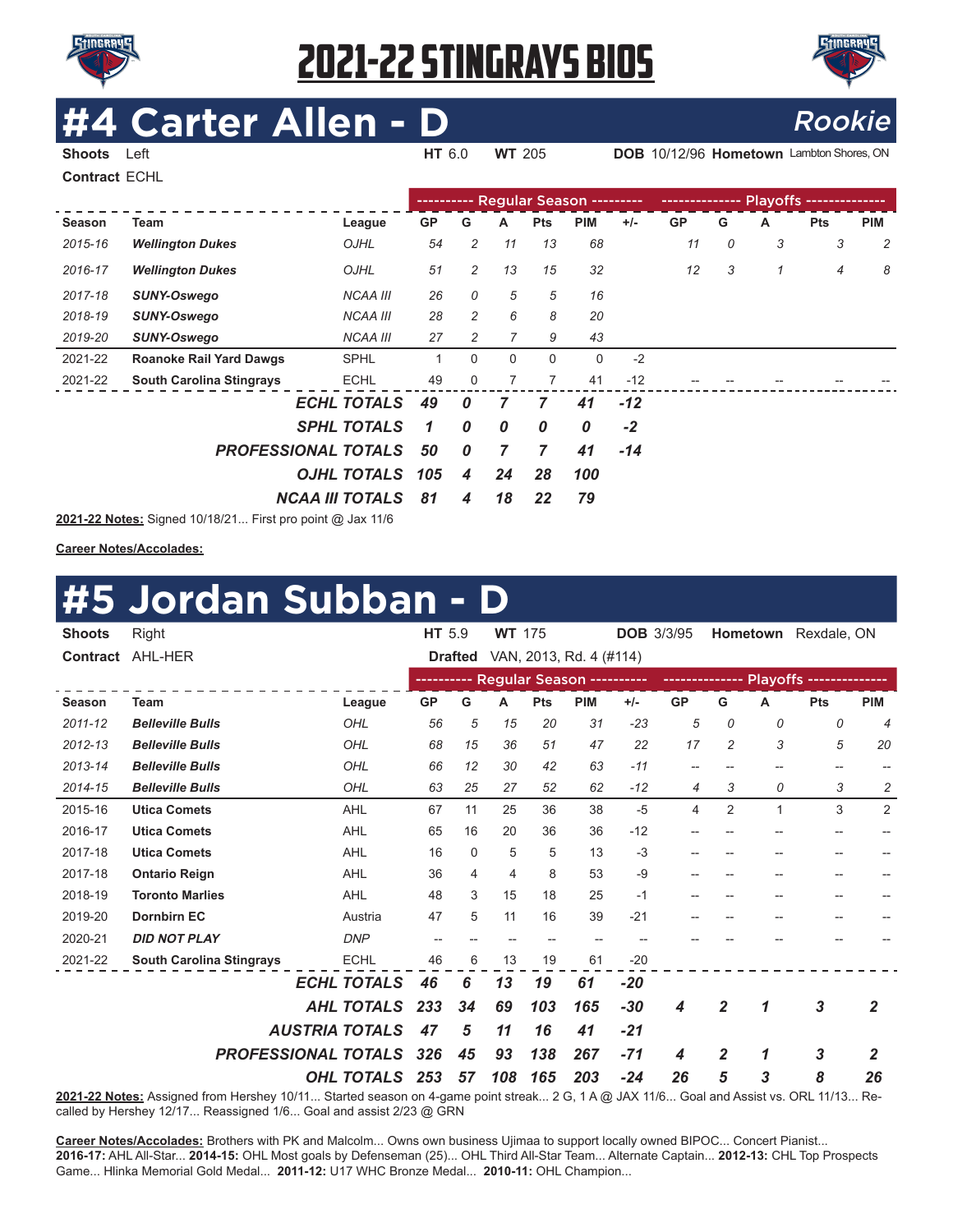



# **Carter Allen - D**<br>Rook

**Shoots** Left **HT** 6.0 **WT** 205 **DOB** 10/12/96 **Hometown** Lambton Shores, ON

**Contract** ECHL

|               |                                 |                                   | ---------- Regular Season --------- |                  |              |              |            |       |           |   |   |                |            |
|---------------|---------------------------------|-----------------------------------|-------------------------------------|------------------|--------------|--------------|------------|-------|-----------|---|---|----------------|------------|
| <b>Season</b> | Team                            | League                            | <b>GP</b>                           | G                | A            | <b>Pts</b>   | <b>PIM</b> | $+/-$ | <b>GP</b> | G | A | <b>Pts</b>     | <b>PIM</b> |
| 2015-16       | <b>Wellington Dukes</b>         | OJHL                              | 54                                  | 2                | 11           | 13           | 68         |       | 11        | 0 | 3 | 3              | 2          |
| 2016-17       | <b>Wellington Dukes</b>         | OJHL                              | 51                                  | 2                | 13           | 15           | 32         |       | 12        | 3 | 1 | $\overline{4}$ | 8          |
| 2017-18       | <b>SUNY-Oswego</b>              | <b>NCAA III</b>                   | 26                                  | 0                | 5            | 5            | 16         |       |           |   |   |                |            |
| 2018-19       | <b>SUNY-Oswego</b>              | <b>NCAA III</b>                   | 28                                  | 2                | 6            | 8            | 20         |       |           |   |   |                |            |
| 2019-20       | <b>SUNY-Oswego</b>              | <b>NCAA III</b>                   | 27                                  | 2                |              | 9            | 43         |       |           |   |   |                |            |
| 2021-22       | <b>Roanoke Rail Yard Dawgs</b>  | <b>SPHL</b>                       | 1                                   | $\Omega$         | $\mathbf{0}$ | $\mathbf{0}$ | 0          | $-2$  |           |   |   |                |            |
| 2021-22       | <b>South Carolina Stingrays</b> | <b>ECHL</b>                       | 49                                  | 0                |              | 7            | 41         | $-12$ |           |   |   |                |            |
|               |                                 | <b>ECHL TOTALS</b>                | 49                                  | 0                | 7            | 7            | 41         | $-12$ |           |   |   |                |            |
|               |                                 | <b>SPHL TOTALS</b>                | 1                                   | 0                | 0            | 0            | 0          | $-2$  |           |   |   |                |            |
|               | <b>PROFESSIONAL TOTALS</b>      |                                   |                                     | $\boldsymbol{0}$ | 7            | 7            | 41         | $-14$ |           |   |   |                |            |
|               | OJHL TOTALS                     |                                   |                                     |                  | 24           | 28           | 100        |       |           |   |   |                |            |
|               | <b>NCAA III TOTALS</b>          | 81                                | 4                                   | 18               | 22           | 79           |            |       |           |   |   |                |            |
|               | 2021-22 Notes: Signed 10/18/21  | First pro point $\omega$ lax 11/6 |                                     |                  |              |              |            |       |           |   |   |                |            |

**2021-22 Notes:** Signed 10/18/21... First pro point @ Jax 11/6

**Career Notes/Accolades:**

#### **#5 Jordan Subban - D**

| <b>Shoots</b>   | Right                           |                       | HT 5.9                                |                | <b>WT</b> 175  |            |                                      | <b>DOB 3/3/95</b> |                          |                | Hometown     | Rexdale, ON              |                |
|-----------------|---------------------------------|-----------------------|---------------------------------------|----------------|----------------|------------|--------------------------------------|-------------------|--------------------------|----------------|--------------|--------------------------|----------------|
| <b>Contract</b> | AHL-HER                         |                       |                                       | <b>Drafted</b> |                |            | VAN, 2013, Rd. 4 (#114)              |                   |                          |                |              |                          |                |
|                 |                                 |                       |                                       |                |                |            | ---------- Regular Season ---------- |                   |                          |                |              |                          |                |
| Season          | <b>Team</b>                     | League                | <b>GP</b>                             | G              | А              | <b>Pts</b> | <b>PIM</b>                           | $+/-$             | <b>GP</b>                | G              | Α            | <b>Pts</b>               | <b>PIM</b>     |
| 2011-12         | <b>Belleville Bulls</b>         | OHL                   | 56                                    | 5              | 15             | 20         | 31                                   | $-23$             | 5                        | 0              | 0            | 0                        | $\overline{4}$ |
| $2012 - 13$     | <b>Belleville Bulls</b>         | OHL                   | 68                                    | 15             | 36             | 51         | 47                                   | 22                | 17                       | $\overline{c}$ | 3            | 5                        | 20             |
| 2013-14         | <b>Belleville Bulls</b>         | OHL                   | 66                                    | 12             | 30             | 42         | 63                                   | $-11$             | $-$                      |                | $-$          | --                       |                |
| 2014-15         | <b>Belleville Bulls</b>         | OHL                   | 63                                    | 25             | 27             | 52         | 62                                   | $-12$             | 4                        | 3              | 0            | 3                        | 2              |
| 2015-16         | <b>Utica Comets</b>             | <b>AHL</b>            | 67                                    | 11             | 25             | 36         | 38                                   | $-5$              | 4                        | $\overline{2}$ | $\mathbf{1}$ | 3                        | 2              |
| 2016-17         | <b>Utica Comets</b>             | <b>AHL</b>            | 65                                    | 16             | 20             | 36         | 36                                   | $-12$             |                          |                |              |                          |                |
| 2017-18         | <b>Utica Comets</b>             | <b>AHL</b>            | 16                                    | $\Omega$       | 5              | 5          | 13                                   | $-3$              |                          |                |              | --                       |                |
| 2017-18         | <b>Ontario Reign</b>            | <b>AHL</b>            | 36                                    | 4              | $\overline{4}$ | 8          | 53                                   | $-9$              | $\overline{\phantom{a}}$ | --             | --           | $\overline{\phantom{a}}$ |                |
| 2018-19         | <b>Toronto Marlies</b>          | <b>AHL</b>            | 48                                    | 3              | 15             | 18         | 25                                   | $-1$              |                          |                |              |                          |                |
| 2019-20         | <b>Dornbirn EC</b>              | Austria               | 47                                    | 5              | 11             | 16         | 39                                   | $-21$             |                          |                |              |                          |                |
| 2020-21         | <b>DID NOT PLAY</b>             | <b>DNP</b>            | $\hspace{0.05cm}$ – $\hspace{0.05cm}$ |                | --             | --         | $-$                                  |                   |                          |                |              |                          |                |
| 2021-22         | <b>South Carolina Stingrays</b> | <b>ECHL</b>           | 46                                    | 6              | 13             | 19         | 61                                   | $-20$             |                          |                |              |                          |                |
|                 |                                 | <b>ECHL TOTALS</b>    | 46                                    | 6              | 13             | 19         | 61                                   | $-20$             |                          |                |              |                          |                |
|                 |                                 | <b>AHL TOTALS</b>     | 233                                   | 34             | 69             | 103        | 165                                  | $-30$             | 4                        | $\overline{2}$ | 1            | $\mathbf{3}$             | 2              |
|                 |                                 | <b>AUSTRIA TOTALS</b> | 47                                    | 5              | 11             | 16         | 41                                   | $-21$             |                          |                |              |                          |                |
|                 | <b>PROFESSIONAL TOTALS</b>      |                       | 326                                   | 45             | 93             | 138        | 267                                  | $-71$             | 4                        | $\overline{2}$ | 1            | $\mathbf{3}$             | 2              |
|                 |                                 | OHL TOTALS            | 253                                   | 57             | 108            | 165        | 203                                  | $-24$             | 26                       | 5              | 3            | 8                        | 26             |

**2021-22 Notes:** Assigned from Hershey 10/11... Started season on 4-game point streak... 2 G, 1 A @ JAX 11/6... Goal and Assist vs. ORL 11/13... Recalled by Hershey 12/17... Reassigned 1/6... Goal and assist 2/23 @ GRN

**Career Notes/Accolades:** Brothers with PK and Malcolm... Owns own business Ujimaa to support locally owned BIPOC... Concert Pianist... **2016-17:** AHL All-Star... **2014-15:** OHL Most goals by Defenseman (25)... OHL Third All-Star Team... Alternate Captain... **2012-13:** CHL Top Prospects Game... Hlinka Memorial Gold Medal... **2011-12:** U17 WHC Bronze Medal... **2010-11:** OHL Champion...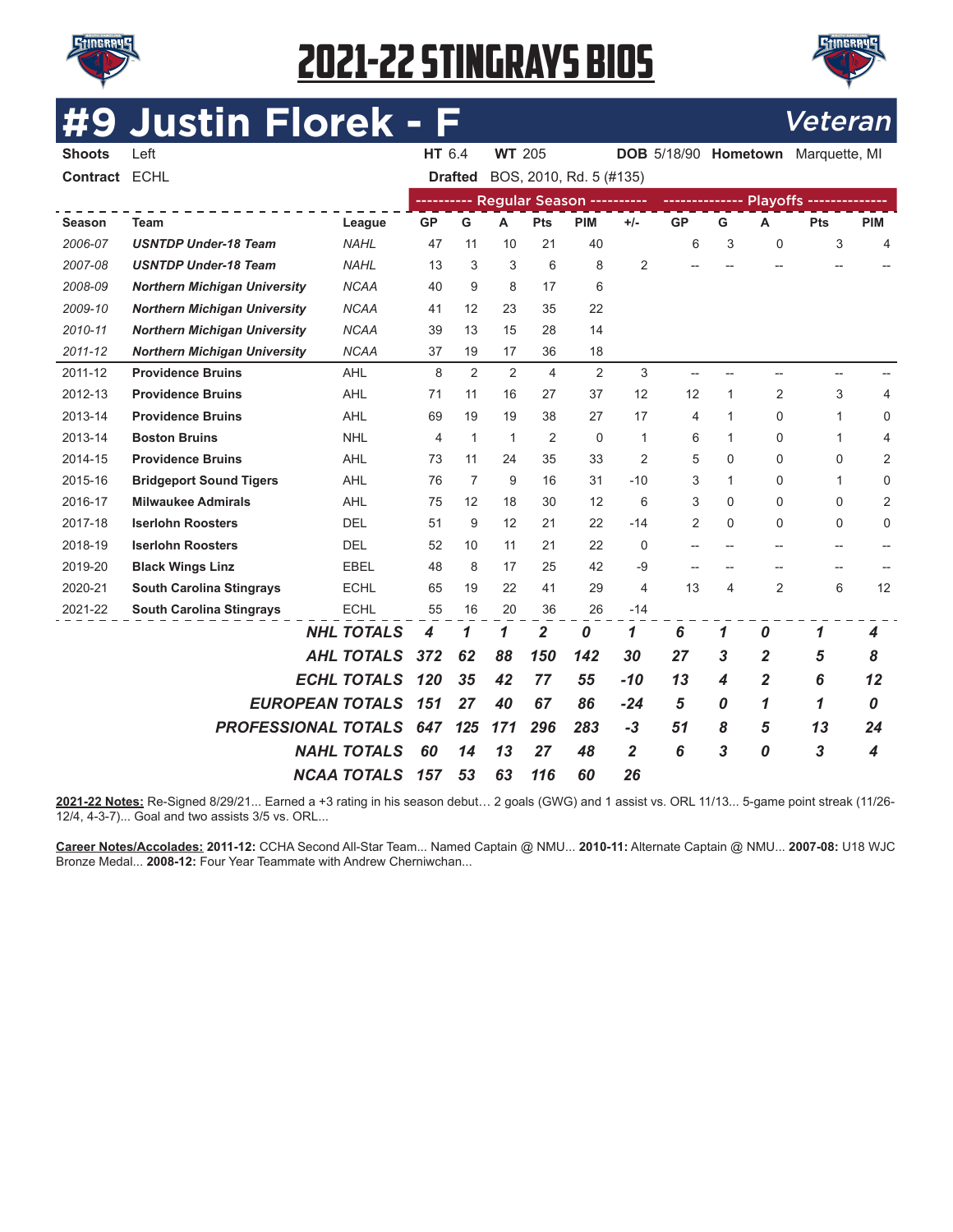



# **#9 Justin Florek - F** Veteran

| <b>Shoots</b> | Left                                |                        | HT 6.4         |                   | <b>WT 205</b> |                |                                      |                |                          |                          |                          | DOB 5/18/90 Hometown Marquette, MI |                          |
|---------------|-------------------------------------|------------------------|----------------|-------------------|---------------|----------------|--------------------------------------|----------------|--------------------------|--------------------------|--------------------------|------------------------------------|--------------------------|
| Contract ECHL |                                     |                        |                | <b>Drafted</b>    |               |                | BOS, 2010, Rd. 5 (#135)              |                |                          |                          |                          |                                    |                          |
|               |                                     |                        |                |                   |               |                | ---------- Regular Season ---------- |                |                          |                          |                          |                                    |                          |
| <b>Season</b> | <b>Team</b>                         | League                 | <b>GP</b>      | G                 | A             | Pts            | <b>PIM</b>                           | $+/-$          | <b>GP</b>                | G                        | A                        | <b>Pts</b>                         | <b>PIM</b>               |
| 2006-07       | <b>USNTDP Under-18 Team</b>         | <b>NAHL</b>            | 47             | 11                | 10            | 21             | 40                                   |                | 6                        | 3                        | $\mathbf 0$              | 3                                  | 4                        |
| 2007-08       | <b>USNTDP Under-18 Team</b>         | NAHL                   | 13             | 3                 | 3             | 6              | 8                                    | $\overline{2}$ |                          |                          |                          |                                    |                          |
| 2008-09       | <b>Northern Michigan University</b> | <b>NCAA</b>            | 40             | 9                 | 8             | 17             | 6                                    |                |                          |                          |                          |                                    |                          |
| 2009-10       | <b>Northern Michigan University</b> | <b>NCAA</b>            | 41             | $12 \overline{ }$ | 23            | 35             | 22                                   |                |                          |                          |                          |                                    |                          |
| 2010-11       | <b>Northern Michigan University</b> | <b>NCAA</b>            | 39             | 13                | 15            | 28             | 14                                   |                |                          |                          |                          |                                    |                          |
| 2011-12       | <b>Northern Michigan University</b> | <b>NCAA</b>            | 37             | 19                | 17            | 36             | 18                                   |                |                          |                          |                          |                                    |                          |
| 2011-12       | <b>Providence Bruins</b>            | AHL                    | 8              | 2                 | 2             | $\overline{4}$ | 2                                    | 3              | $\overline{\phantom{0}}$ | $-$                      | $\overline{\phantom{0}}$ | $\overline{\phantom{a}}$           |                          |
| 2012-13       | <b>Providence Bruins</b>            | <b>AHL</b>             | 71             | 11                | 16            | 27             | 37                                   | 12             | 12                       | 1                        | 2                        | 3                                  | 4                        |
| 2013-14       | <b>Providence Bruins</b>            | <b>AHL</b>             | 69             | 19                | 19            | 38             | 27                                   | 17             | 4                        | 1                        | $\mathbf 0$              | 1                                  | 0                        |
| 2013-14       | <b>Boston Bruins</b>                | <b>NHL</b>             | $\overline{4}$ | $\mathbf{1}$      | 1             | $\overline{2}$ | 0                                    | $\mathbf{1}$   | 6                        | 1                        | $\Omega$                 | 1                                  | 4                        |
| 2014-15       | <b>Providence Bruins</b>            | <b>AHL</b>             | 73             | 11                | 24            | 35             | 33                                   | $\overline{2}$ | 5                        | 0                        | $\mathbf 0$              | 0                                  | 2                        |
| 2015-16       | <b>Bridgeport Sound Tigers</b>      | AHL                    | 76             | 7                 | 9             | 16             | 31                                   | $-10$          | 3                        | 1                        | $\Omega$                 | 1                                  | 0                        |
| 2016-17       | <b>Milwaukee Admirals</b>           | <b>AHL</b>             | 75             | 12                | 18            | 30             | 12                                   | 6              | 3                        | 0                        | $\mathbf 0$              | 0                                  | 2                        |
| 2017-18       | <b>Iserlohn Roosters</b>            | <b>DEL</b>             | 51             | 9                 | 12            | 21             | 22                                   | $-14$          | 2                        | 0                        | $\Omega$                 | 0                                  | 0                        |
| 2018-19       | <b>Iserlohn Roosters</b>            | <b>DEL</b>             | 52             | 10                | 11            | 21             | 22                                   | $\mathbf 0$    | $\overline{\phantom{a}}$ | $\overline{\phantom{a}}$ | $-$                      | $-$                                | $\overline{\phantom{a}}$ |
| 2019-20       | <b>Black Wings Linz</b>             | <b>EBEL</b>            | 48             | 8                 | 17            | 25             | 42                                   | $-9$           | $-$                      |                          |                          | $\overline{\phantom{a}}$           |                          |
| 2020-21       | <b>South Carolina Stingrays</b>     | <b>ECHL</b>            | 65             | 19                | 22            | 41             | 29                                   | 4              | 13                       | 4                        | $\overline{2}$           | 6                                  | 12                       |
| 2021-22       | <b>South Carolina Stingrays</b>     | <b>ECHL</b>            | 55             | 16                | 20            | 36             | 26                                   | $-14$          |                          |                          |                          |                                    |                          |
|               |                                     | <b>NHL TOTALS</b>      | 4              | 1                 | 1             | 2              | 0                                    | 1              | 6                        | 1                        | 0                        | 1                                  | 4                        |
|               |                                     | <b>AHL TOTALS</b>      | 372            | 62                | 88            | 150            | 142                                  | 30             | 27                       | 3                        | $\overline{2}$           | 5                                  | 8                        |
|               |                                     | <b>ECHL TOTALS</b>     | 120            | 35                | 42            | 77             | 55                                   | $-10$          | 13                       | 4                        | 2                        | 6                                  | 12                       |
|               |                                     | <b>EUROPEAN TOTALS</b> | 151            | 27                | 40            | 67             | 86                                   | $-24$          | 5                        | 0                        | 1                        | 1                                  | 0                        |
|               | <b>PROFESSIONAL TOTALS</b>          |                        | 647            | 125               | 171           | 296            | 283                                  | $-3$           | 51                       | 8                        | 5                        | 13                                 | 24                       |
|               |                                     | <b>NAHL TOTALS</b>     | 60             | 14                | 13            | 27             | 48                                   | $\overline{2}$ | 6                        | 3                        | 0                        | 3                                  | 4                        |
|               |                                     | <b>NCAA TOTALS</b>     | 157            | 53                | 63            | 116            | 60                                   | 26             |                          |                          |                          |                                    |                          |

**2021-22 Notes:** Re-Signed 8/29/21... Earned a +3 rating in his season debut… 2 goals (GWG) and 1 assist vs. ORL 11/13... 5-game point streak (11/26- 12/4, 4-3-7)... Goal and two assists 3/5 vs. ORL...

**Career Notes/Accolades: 2011-12:** CCHA Second All-Star Team... Named Captain @ NMU... **2010-11:** Alternate Captain @ NMU... **2007-08:** U18 WJC Bronze Medal... **2008-12:** Four Year Teammate with Andrew Cherniwchan...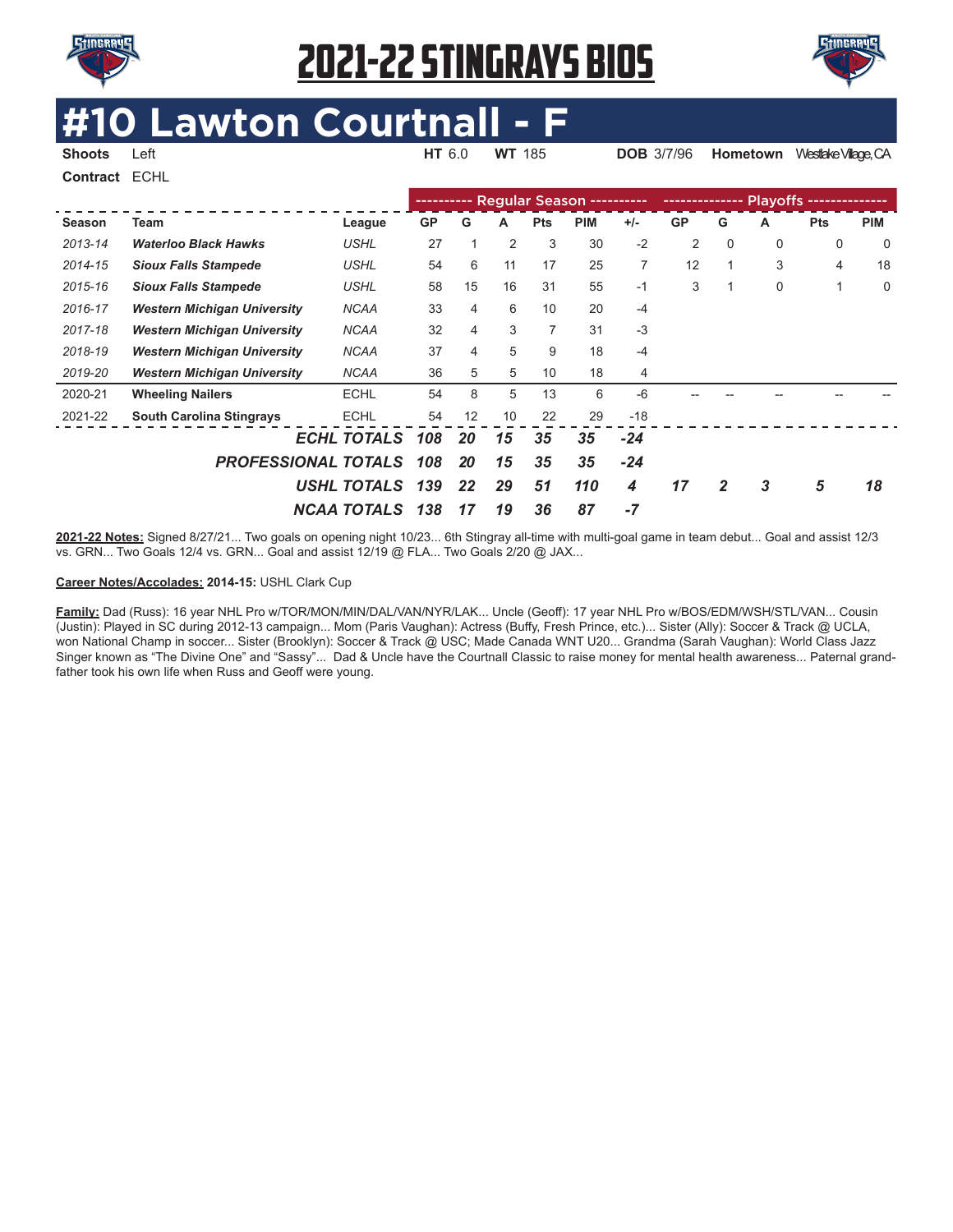



# **EXECUTER AND COUPLE AND THE AND WE 185**

**Shoots** Left **HT** 6.0 **WT** 185 **DOB** 3/7/96 **Hometown** Westlake Vilage, CA **Contract** ECHL

|         |                                    |                    | ---------- |    |    |            | Regular Season ---------- |       | ---------------- |   |             | Plavoffs -------------- |             |
|---------|------------------------------------|--------------------|------------|----|----|------------|---------------------------|-------|------------------|---|-------------|-------------------------|-------------|
| Season  | Team                               | League             | <b>GP</b>  | G  | A  | <b>Pts</b> | <b>PIM</b>                | $+/-$ | <b>GP</b>        | G | А           | <b>Pts</b>              | <b>PIM</b>  |
| 2013-14 | <b>Waterloo Black Hawks</b>        | <b>USHL</b>        | 27         |    | 2  | 3          | 30                        | $-2$  | $\overline{2}$   | 0 | $\mathbf 0$ | 0                       | $\mathbf 0$ |
| 2014-15 | <b>Sioux Falls Stampede</b>        | <b>USHL</b>        | 54         | 6  | 11 | 17         | 25                        | 7     | 12               |   | 3           | 4                       | 18          |
| 2015-16 | <b>Sioux Falls Stampede</b>        | <b>USHL</b>        | 58         | 15 | 16 | 31         | 55                        | $-1$  | 3                |   | 0           | 1                       | 0           |
| 2016-17 | <b>Western Michigan University</b> | <b>NCAA</b>        | 33         | 4  | 6  | 10         | 20                        | $-4$  |                  |   |             |                         |             |
| 2017-18 | <b>Western Michigan University</b> | <b>NCAA</b>        | 32         | 4  | 3  | 7          | 31                        | $-3$  |                  |   |             |                         |             |
| 2018-19 | <b>Western Michigan University</b> | <b>NCAA</b>        | 37         | 4  | 5  | 9          | 18                        | $-4$  |                  |   |             |                         |             |
| 2019-20 | <b>Western Michigan University</b> | <b>NCAA</b>        | 36         | 5  | 5  | 10         | 18                        | 4     |                  |   |             |                         |             |
| 2020-21 | <b>Wheeling Nailers</b>            | <b>ECHL</b>        | 54         | 8  | 5  | 13         | 6                         | $-6$  |                  |   |             |                         |             |
| 2021-22 | <b>South Carolina Stingrays</b>    | <b>ECHL</b>        | 54         | 12 | 10 | 22         | 29                        | $-18$ |                  |   |             |                         |             |
|         |                                    | <b>ECHL TOTALS</b> | 108        | 20 | 15 | 35         | 35                        | $-24$ |                  |   |             |                         |             |
|         | <b>PROFESSIONAL TOTALS</b>         |                    | 108        | 20 | 15 | 35         | 35                        | $-24$ |                  |   |             |                         |             |
|         |                                    | USHL TOTALS        | 139        | 22 | 29 | 51         | 110                       | 4     | 17               | 2 | 3           | 5                       | 18          |
|         |                                    | <b>NCAA TOTALS</b> | 138        | 17 | 19 | 36         | 87                        | $-7$  |                  |   |             |                         |             |

**2021-22 Notes:** Signed 8/27/21... Two goals on opening night 10/23... 6th Stingray all-time with multi-goal game in team debut... Goal and assist 12/3 vs. GRN... Two Goals 12/4 vs. GRN... Goal and assist 12/19 @ FLA... Two Goals 2/20 @ JAX...

#### **Career Notes/Accolades: 2014-15:** USHL Clark Cup

**Family:** Dad (Russ): 16 year NHL Pro w/TOR/MON/MIN/DAL/VAN/NYR/LAK... Uncle (Geoff): 17 year NHL Pro w/BOS/EDM/WSH/STL/VAN... Cousin (Justin): Played in SC during 2012-13 campaign... Mom (Paris Vaughan): Actress (Buffy, Fresh Prince, etc.)... Sister (Ally): Soccer & Track @ UCLA, won National Champ in soccer... Sister (Brooklyn): Soccer & Track @ USC; Made Canada WNT U20... Grandma (Sarah Vaughan): World Class Jazz Singer known as "The Divine One" and "Sassy"... Dad & Uncle have the Courtnall Classic to raise money for mental health awareness... Paternal grandfather took his own life when Russ and Geoff were young.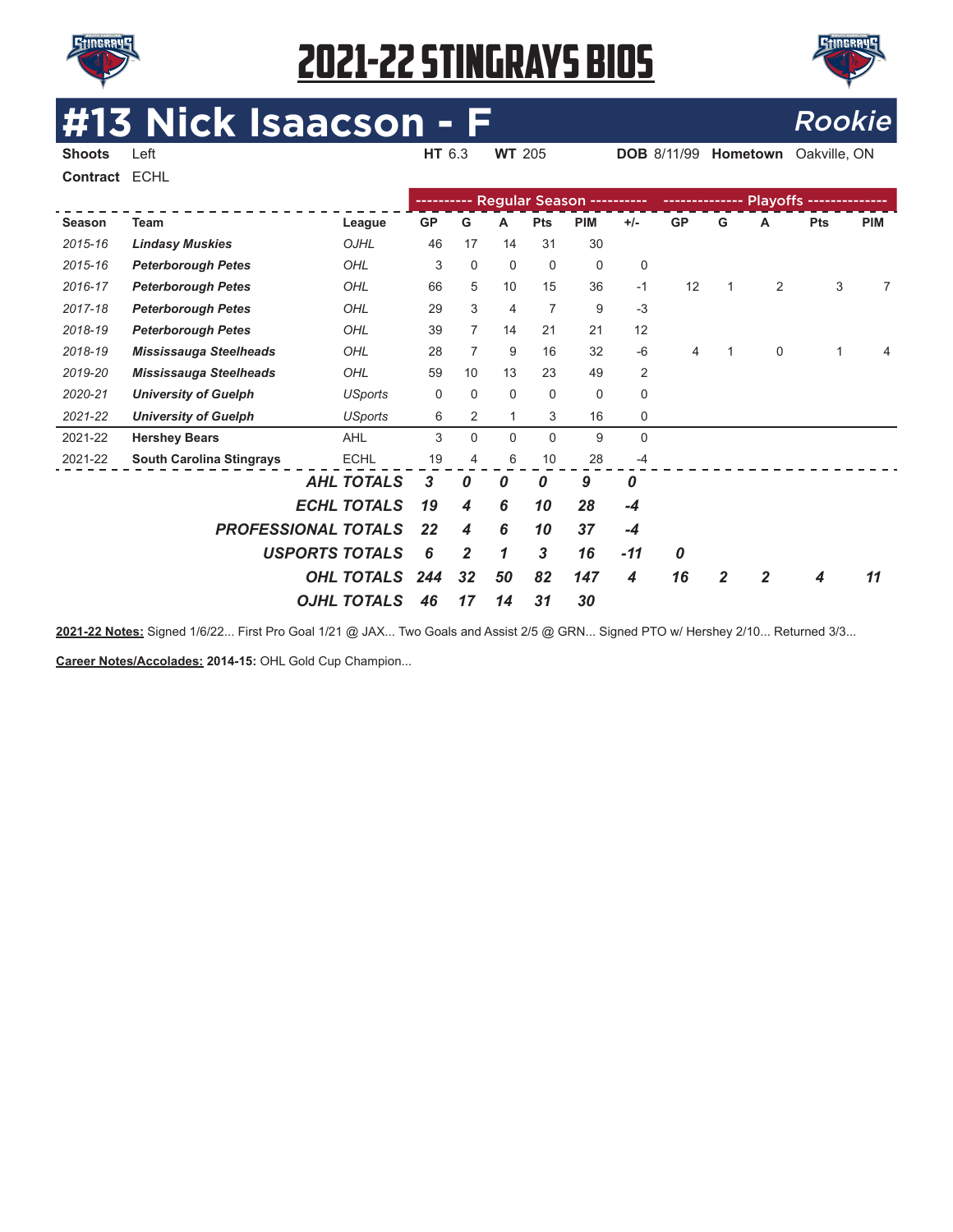



**DOB** 8/11/99 **Hometown** Oakville, ON

# **#13 Nick Isaacson - F**<br>Shoots Left **Example 2013** NT 205 DOB 8/11/99 Hometown Oakville, ON

**Contract** ECHL

|         |                                 |                            |           |                  |                  |                | Regular Season ---------- |             | -------------- |   |   | Playoffs -------------- |            |
|---------|---------------------------------|----------------------------|-----------|------------------|------------------|----------------|---------------------------|-------------|----------------|---|---|-------------------------|------------|
| Season  | Team                            | League                     | <b>GP</b> | G                | A                | <b>Pts</b>     | <b>PIM</b>                | $+/-$       | <b>GP</b>      | G | A | <b>Pts</b>              | <b>PIM</b> |
| 2015-16 | <b>Lindasy Muskies</b>          | OJHL                       | 46        | 17               | 14               | 31             | 30                        |             |                |   |   |                         |            |
| 2015-16 | <b>Peterborough Petes</b>       | OHL                        | 3         | 0                | 0                | 0              | $\mathbf 0$               | 0           |                |   |   |                         |            |
| 2016-17 | <b>Peterborough Petes</b>       | OHL                        | 66        | 5                | 10               | 15             | 36                        | $-1$        | 12             | 1 | 2 | 3                       | 7          |
| 2017-18 | <b>Peterborough Petes</b>       | OHL                        | 29        | 3                | 4                | $\overline{7}$ | 9                         | $-3$        |                |   |   |                         |            |
| 2018-19 | <b>Peterborough Petes</b>       | OHL                        | 39        | 7                | 14               | 21             | 21                        | 12          |                |   |   |                         |            |
| 2018-19 | <b>Mississauga Steelheads</b>   | OHL                        | 28        | 7                | 9                | 16             | 32                        | $-6$        | 4              |   | 0 |                         |            |
| 2019-20 | <b>Mississauga Steelheads</b>   | OHL                        | 59        | 10               | 13               | 23             | 49                        | 2           |                |   |   |                         |            |
| 2020-21 | <b>University of Guelph</b>     | <b>USports</b>             | 0         | $\Omega$         | 0                | $\mathbf 0$    | $\mathbf 0$               | $\mathbf 0$ |                |   |   |                         |            |
| 2021-22 | <b>University of Guelph</b>     | <b>USports</b>             | 6         | 2                | $\mathbf{1}$     | 3              | 16                        | 0           |                |   |   |                         |            |
| 2021-22 | <b>Hershey Bears</b>            | <b>AHL</b>                 | 3         | $\Omega$         | $\Omega$         | $\mathbf 0$    | 9                         | $\mathbf 0$ |                |   |   |                         |            |
| 2021-22 | <b>South Carolina Stingrays</b> | <b>ECHL</b>                | 19        | 4                | 6                | 10             | 28                        | $-4$        |                |   |   |                         |            |
|         |                                 | <b>AHL TOTALS</b>          | 3         | 0                | $\boldsymbol{0}$ | 0              | 9                         | 0           |                |   |   |                         |            |
|         |                                 | <b>ECHL TOTALS</b>         | 19        | $\boldsymbol{4}$ | 6                | 10             | 28                        | $-4$        |                |   |   |                         |            |
|         |                                 | <b>PROFESSIONAL TOTALS</b> | 22        | 4                | 6                | 10             | 37                        | $-4$        |                |   |   |                         |            |
|         |                                 | <b>USPORTS TOTALS</b>      | 6         | $\overline{2}$   | 1                | 3              | 16                        | $-11$       | 0              |   |   |                         |            |
|         |                                 | <b>OHL TOTALS</b>          | 244       | 32               | 50               | 82             | 147                       | 4           | 16             | 2 |   | 4                       | 11         |
|         |                                 | <b>OJHL TOTALS</b>         | 46        | 17               | 14               | 31             | 30                        |             |                |   |   |                         |            |

**2021-22 Notes:** Signed 1/6/22... First Pro Goal 1/21 @ JAX... Two Goals and Assist 2/5 @ GRN... Signed PTO w/ Hershey 2/10... Returned 3/3...

**Career Notes/Accolades: 2014-15:** OHL Gold Cup Champion...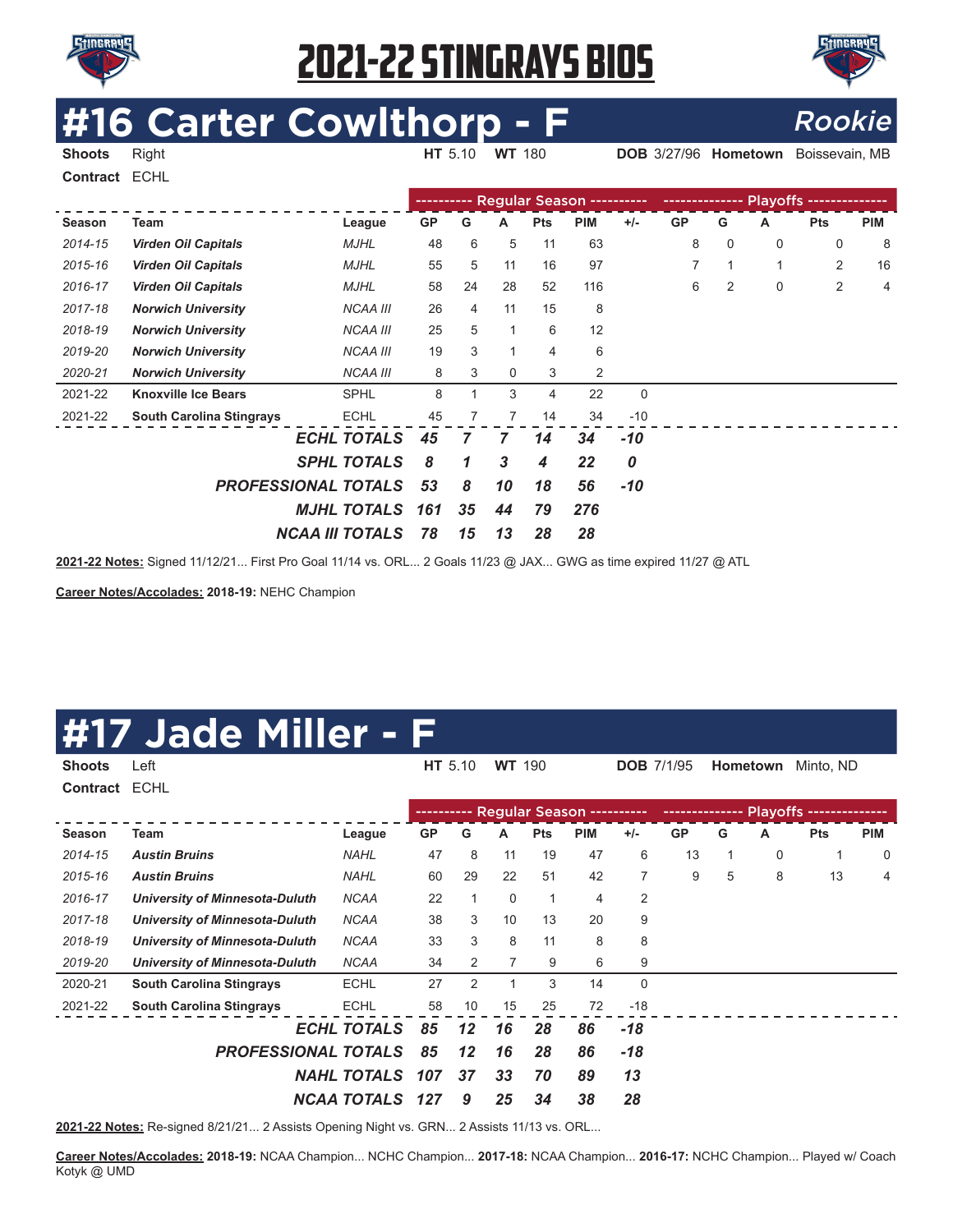



# **#16 Carter Cowlthorp - F** Rookie

**Shoots** Right **HT** 5.10 **WT** 180 **DOB** 3/27/96 **Hometown** Boissevain, MB

**Contract** ECHL

|         |                                 |                    |           |    |              |                | Regular Season ---------- |             | -------------- |             |             | <b>Playoffs -------</b> |            |
|---------|---------------------------------|--------------------|-----------|----|--------------|----------------|---------------------------|-------------|----------------|-------------|-------------|-------------------------|------------|
| Season  | Team                            | League             | <b>GP</b> | G  | A            | <b>Pts</b>     | <b>PIM</b>                | $+/-$       | <b>GP</b>      | G           | Α           | <b>Pts</b>              | <b>PIM</b> |
| 2014-15 | <b>Virden Oil Capitals</b>      | <b>MJHL</b>        | 48        | 6  | 5            | 11             | 63                        |             | 8              | $\mathbf 0$ | 0           | 0                       | 8          |
| 2015-16 | <b>Virden Oil Capitals</b>      | <b>MJHL</b>        | 55        | 5  | 11           | 16             | 97                        |             |                |             | 1           | 2                       | 16         |
| 2016-17 | <b>Virden Oil Capitals</b>      | <b>MJHL</b>        | 58        | 24 | 28           | 52             | 116                       |             | 6              | 2           | $\mathbf 0$ | $\overline{2}$          | 4          |
| 2017-18 | <b>Norwich University</b>       | <b>NCAA III</b>    | 26        | 4  | 11           | 15             | 8                         |             |                |             |             |                         |            |
| 2018-19 | <b>Norwich University</b>       | <b>NCAA III</b>    | 25        | 5  | $\mathbf{1}$ | 6              | 12                        |             |                |             |             |                         |            |
| 2019-20 | <b>Norwich University</b>       | <b>NCAA III</b>    | 19        | 3  | $\mathbf{1}$ | $\overline{4}$ | 6                         |             |                |             |             |                         |            |
| 2020-21 | <b>Norwich University</b>       | <b>NCAA III</b>    | 8         | 3  | 0            | 3              | 2                         |             |                |             |             |                         |            |
| 2021-22 | <b>Knoxville Ice Bears</b>      | <b>SPHL</b>        | 8         |    | 3            | 4              | 22                        | $\mathbf 0$ |                |             |             |                         |            |
| 2021-22 | <b>South Carolina Stingrays</b> | <b>ECHL</b>        | 45        | 7  | 7            | 14             | 34                        | $-10$       |                |             |             |                         |            |
|         |                                 | <b>ECHL TOTALS</b> | 45        | 7  | 7            | 14             | 34                        | $-10$       |                |             |             |                         |            |
|         |                                 | <b>SPHL TOTALS</b> | 8         | 1  | 3            | 4              | 22                        | 0           |                |             |             |                         |            |
|         | <b>PROFESSIONAL TOTALS</b>      |                    |           | 8  | 10           | 18             | 56                        | $-10$       |                |             |             |                         |            |
|         | <b>MJHL TOTALS</b><br>161       |                    |           |    | 44           | 79             | 276                       |             |                |             |             |                         |            |
|         | <b>NCAA III TOTALS</b>          | 78                 | 15        | 13 | 28           | 28             |                           |             |                |             |             |                         |            |

**2021-22 Notes:** Signed 11/12/21... First Pro Goal 11/14 vs. ORL... 2 Goals 11/23 @ JAX... GWG as time expired 11/27 @ ATL

**Career Notes/Accolades: 2018-19:** NEHC Champion

#### **#17 Jade Miller - F**

| <b>Shoots</b> | Left                                  |                    |           | HT 5.10        | <b>WT</b> 190 |            |                           | <b>DOB</b> 7/1/95 |           |   | Hometown    | Minto, ND  |            |
|---------------|---------------------------------------|--------------------|-----------|----------------|---------------|------------|---------------------------|-------------------|-----------|---|-------------|------------|------------|
| Contract ECHL |                                       |                    |           |                |               |            |                           |                   |           |   |             |            |            |
|               |                                       |                    | --------  |                |               |            | Regular Season ---------- |                   |           |   |             |            |            |
| <b>Season</b> | Team                                  | League             | <b>GP</b> | G              | A             | <b>Pts</b> | <b>PIM</b>                | $+/-$             | <b>GP</b> | G | A           | <b>Pts</b> | <b>PIM</b> |
| 2014-15       | <b>Austin Bruins</b>                  | <b>NAHL</b>        | 47        | 8              | 11            | 19         | 47                        | 6                 | 13        | 1 | $\mathbf 0$ | 1          | 0          |
| 2015-16       | <b>Austin Bruins</b>                  | <b>NAHL</b>        | 60        | 29             | 22            | 51         | 42                        | 7                 | 9         | 5 | 8           | 13         | 4          |
| 2016-17       | <b>University of Minnesota-Duluth</b> | <b>NCAA</b>        | 22        |                | $\mathbf 0$   | 1          | 4                         | 2                 |           |   |             |            |            |
| 2017-18       | <b>University of Minnesota-Duluth</b> | <b>NCAA</b>        | 38        | 3              | 10            | 13         | 20                        | 9                 |           |   |             |            |            |
| 2018-19       | <b>University of Minnesota-Duluth</b> | <b>NCAA</b>        | 33        | 3              | 8             | 11         | 8                         | 8                 |           |   |             |            |            |
| 2019-20       | University of Minnesota-Duluth        | <b>NCAA</b>        | 34        | 2              | 7             | 9          | 6                         | 9                 |           |   |             |            |            |
| 2020-21       | <b>South Carolina Stingrays</b>       | <b>ECHL</b>        | 27        | $\overline{2}$ |               | 3          | 14                        | $\mathbf 0$       |           |   |             |            |            |
| 2021-22       | <b>South Carolina Stingrays</b>       | <b>ECHL</b>        | 58        | 10             | 15            | 25         | 72                        | $-18$             |           |   |             |            |            |
|               |                                       | <b>ECHL TOTALS</b> | 85        | 12             | 16            | 28         | 86                        | -18               |           |   |             |            |            |
|               | <b>PROFESSIONAL TOTALS</b>            |                    | 85        | $12 \,$        | 16            | 28         | 86                        | $-18$             |           |   |             |            |            |
|               |                                       | <b>NAHL TOTALS</b> | 107       | 37             | 33            | 70         | 89                        | 13                |           |   |             |            |            |
|               |                                       | <b>NCAA TOTALS</b> | 127       | 9              | 25            | 34         | 38                        | 28                |           |   |             |            |            |

**2021-22 Notes:** Re-signed 8/21/21... 2 Assists Opening Night vs. GRN... 2 Assists 11/13 vs. ORL...

**Career Notes/Accolades: 2018-19:** NCAA Champion... NCHC Champion... **2017-18:** NCAA Champion... **2016-17:** NCHC Champion... Played w/ Coach Kotyk @ UMD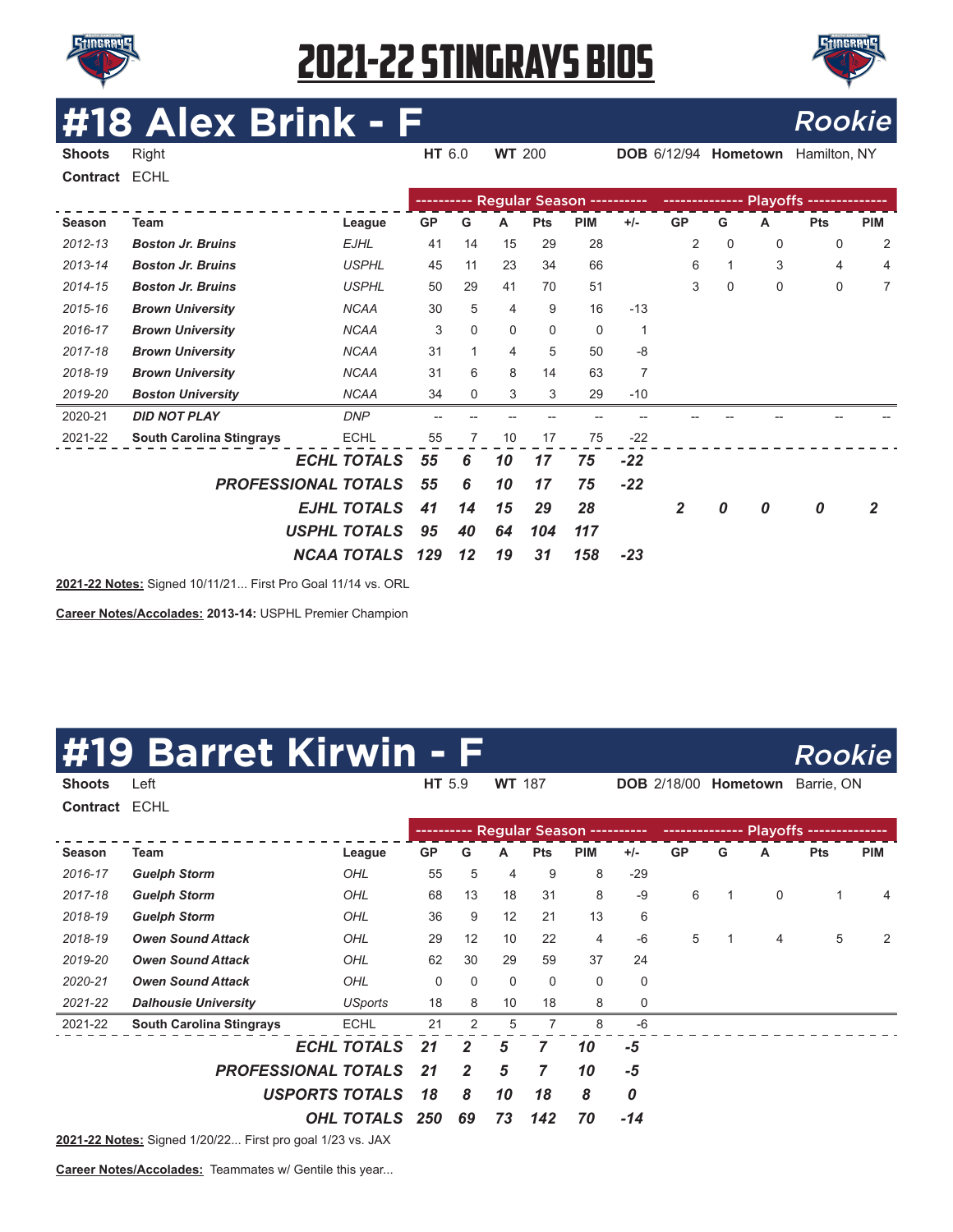



### **#18 Alex Brink - F** Rookie

| <b>Shoots</b> | Right                           |                     | HT 6.0    |          | <b>WT 200</b> |            |                                      |                | <b>DOB</b> 6/12/94 |             | Hometown | Hamilton, NY |            |
|---------------|---------------------------------|---------------------|-----------|----------|---------------|------------|--------------------------------------|----------------|--------------------|-------------|----------|--------------|------------|
| Contract      | <b>ECHL</b>                     |                     |           |          |               |            |                                      |                |                    |             |          |              |            |
|               |                                 |                     |           |          |               |            | ---------- Regular Season ---------- |                |                    |             |          |              |            |
| Season        | <b>Team</b>                     | League              | <b>GP</b> | G        | A             | <b>Pts</b> | <b>PIM</b>                           | $+/-$          | <b>GP</b>          | G           | A        | <b>Pts</b>   | <b>PIM</b> |
| 2012-13       | <b>Boston Jr. Bruins</b>        | <b>EJHL</b>         | 41        | 14       | 15            | 29         | 28                                   |                | 2                  | $\mathbf 0$ | 0        | $\Omega$     | 2          |
| 2013-14       | <b>Boston Jr. Bruins</b>        | <b>USPHL</b>        | 45        | 11       | 23            | 34         | 66                                   |                | 6                  | 1           | 3        | 4            | 4          |
| 2014-15       | <b>Boston Jr. Bruins</b>        | <b>USPHL</b>        | 50        | 29       | 41            | 70         | 51                                   |                | 3                  | 0           | 0        | 0            | 7          |
| 2015-16       | <b>Brown University</b>         | <b>NCAA</b>         | 30        | 5        | 4             | 9          | 16                                   | $-13$          |                    |             |          |              |            |
| 2016-17       | <b>Brown University</b>         | <b>NCAA</b>         | 3         | $\Omega$ | $\mathbf{0}$  | 0          | $\mathbf 0$                          | 1              |                    |             |          |              |            |
| 2017-18       | <b>Brown University</b>         | <b>NCAA</b>         | 31        | 1        | 4             | 5          | 50                                   | $-8$           |                    |             |          |              |            |
| 2018-19       | <b>Brown University</b>         | <b>NCAA</b>         | 31        | 6        | 8             | 14         | 63                                   | $\overline{7}$ |                    |             |          |              |            |
| 2019-20       | <b>Boston University</b>        | <b>NCAA</b>         | 34        | 0        | 3             | 3          | 29                                   | $-10$          |                    |             |          |              |            |
| 2020-21       | <b>DID NOT PLAY</b>             | <b>DNP</b>          |           |          |               |            |                                      |                |                    |             |          |              |            |
| 2021-22       | <b>South Carolina Stingrays</b> | <b>ECHL</b>         | 55        | 7        | 10            | 17         | 75                                   | $-22$          |                    |             |          |              |            |
|               |                                 | <b>ECHL TOTALS</b>  | 55        | 6        | 10            | 17         | 75                                   | $-22$          |                    |             |          |              |            |
|               | <b>PROFESSIONAL TOTALS</b>      |                     | 55        | 6        | 10            | 17         | 75                                   | $-22$          |                    |             |          |              |            |
|               |                                 | <b>EJHL TOTALS</b>  | 41        | 14       | 15            | 29         | 28                                   |                | $\overline{2}$     | 0           | 0        | 0            | 2          |
|               |                                 | <b>USPHL TOTALS</b> | 95        | 40       | 64            | 104        | 117                                  |                |                    |             |          |              |            |
|               |                                 | <b>NCAA TOTALS</b>  | 129       | 12       | 19            | 31         | 158                                  | $-23$          |                    |             |          |              |            |
|               |                                 |                     |           |          |               |            |                                      |                |                    |             |          |              |            |

**2021-22 Notes:** Signed 10/11/21... First Pro Goal 11/14 vs. ORL

**Career Notes/Accolades: 2013-14:** USPHL Premier Champion

#### **9 Barret Kirwin - F** Rookie

| Contract ECHL |                                 |                       |             |                |    |            |                           |       |           |   |                |            |            |
|---------------|---------------------------------|-----------------------|-------------|----------------|----|------------|---------------------------|-------|-----------|---|----------------|------------|------------|
|               |                                 |                       | ----------- |                |    |            | Regular Season ---------- |       |           |   |                |            |            |
| <b>Season</b> | Team                            | League                | <b>GP</b>   | G              | A  | <b>Pts</b> | <b>PIM</b>                | $+/-$ | <b>GP</b> | G | А              | <b>Pts</b> | <b>PIM</b> |
| 2016-17       | <b>Guelph Storm</b>             | OHL                   | 55          | 5              | 4  | 9          | 8                         | $-29$ |           |   |                |            |            |
| 2017-18       | <b>Guelph Storm</b>             | OHL                   | 68          | 13             | 18 | 31         | 8                         | $-9$  | 6         | 1 | 0              | 1          | 4          |
| 2018-19       | <b>Guelph Storm</b>             | OHL                   | 36          | 9              | 12 | 21         | 13                        | 6     |           |   |                |            |            |
| 2018-19       | <b>Owen Sound Attack</b>        | OHL                   | 29          | 12             | 10 | 22         | $\overline{4}$            | $-6$  | 5         | 1 | $\overline{4}$ | 5          | 2          |
| 2019-20       | <b>Owen Sound Attack</b>        | OHL                   | 62          | 30             | 29 | 59         | 37                        | 24    |           |   |                |            |            |
| 2020-21       | <b>Owen Sound Attack</b>        | OHL                   | 0           | 0              | 0  | 0          | 0                         | 0     |           |   |                |            |            |
| 2021-22       | <b>Dalhousie University</b>     | USports               | 18          | 8              | 10 | 18         | 8                         | 0     |           |   |                |            |            |
| 2021-22       | <b>South Carolina Stingrays</b> | <b>ECHL</b>           | 21          | 2              | 5  |            | 8                         | $-6$  |           |   |                |            |            |
|               |                                 | <b>ECHL TOTALS</b>    | 21          | $\overline{2}$ | 5  | 7          | 10                        | -5    |           |   |                |            |            |
|               | <b>PROFESSIONAL TOTALS</b>      |                       | 21          | $\mathbf{2}$   | 5  | 7          | 10                        | -5    |           |   |                |            |            |
|               |                                 | <b>USPORTS TOTALS</b> | 18          | 8              | 10 | 18         | 8                         | 0     |           |   |                |            |            |
|               |                                 | <b>OHL TOTALS</b>     | 250         | 69             | 73 | 142        | 70                        | $-14$ |           |   |                |            |            |

**Shoots** Left **HT** 5.9 **WT** 187 **DOB** 2/18/00 **Hometown** Barrie, ON

**2021-22 Notes:** Signed 1/20/22... First pro goal 1/23 vs. JAX

**Career Notes/Accolades:** Teammates w/ Gentile this year...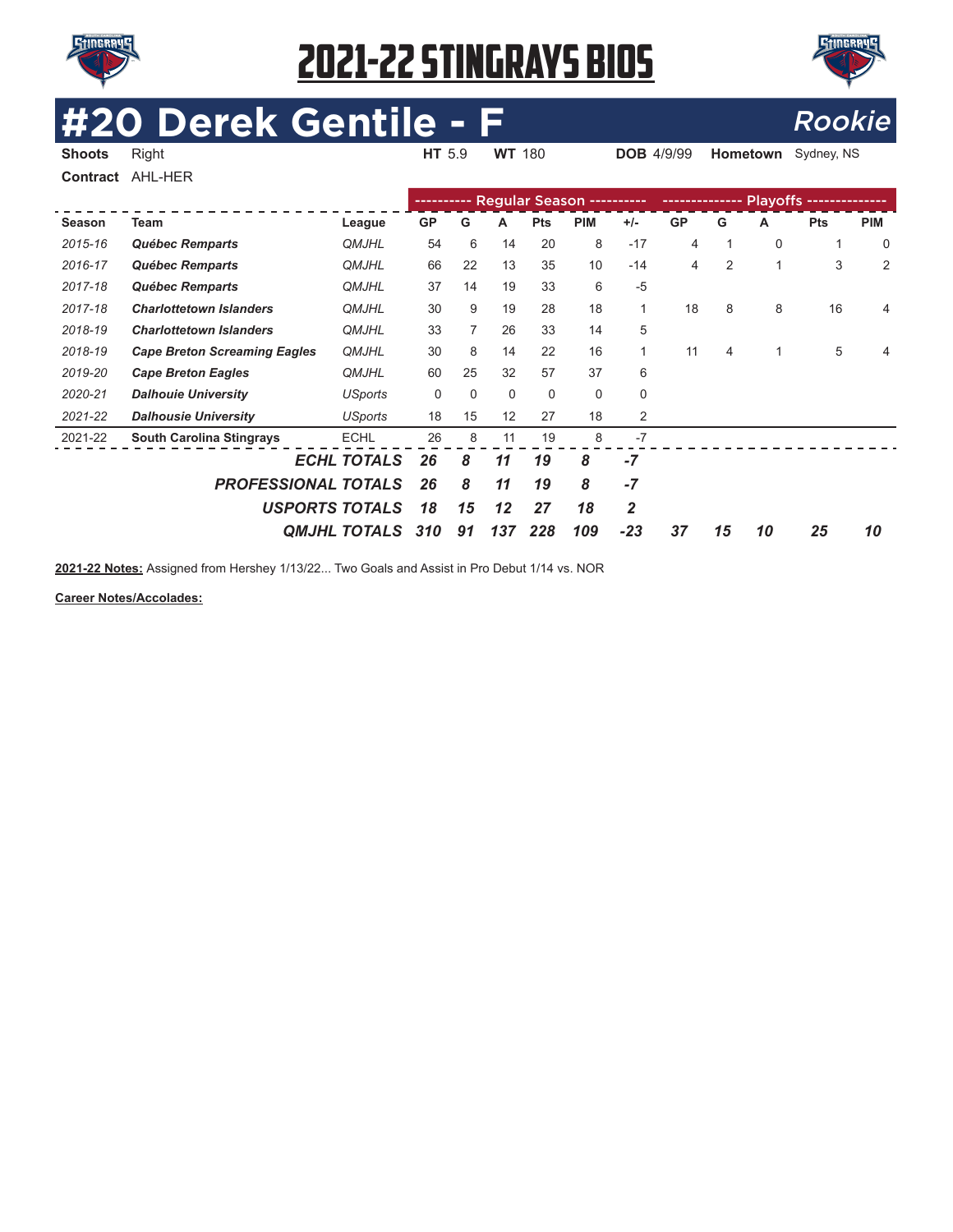



**Hometown** Sydney, NS

# **#20 Derek Gentile - F**<br>Shoots Right Right Rookie HT 5.9 WT 180 DOB 4/9/99 Hometown Sydney, NS

| Contract | AHL-HER                             |                       |           |          |          |                       |             |              |           |                |                 |            |                |
|----------|-------------------------------------|-----------------------|-----------|----------|----------|-----------------------|-------------|--------------|-----------|----------------|-----------------|------------|----------------|
|          |                                     |                       |           |          |          | <b>Regular Season</b> |             |              |           |                | <b>Playoffs</b> |            |                |
| Season   | Team                                | League                | <b>GP</b> | G        | Α        | <b>Pts</b>            | <b>PIM</b>  | $+/-$        | <b>GP</b> | G              | А               | <b>Pts</b> | <b>PIM</b>     |
| 2015-16  | Québec Remparts                     | <b>QMJHL</b>          | 54        | 6        | 14       | 20                    | 8           | $-17$        | 4         | 1              | 0               | 1          | $\mathbf 0$    |
| 2016-17  | Québec Remparts                     | <b>QMJHL</b>          | 66        | 22       | 13       | 35                    | 10          | $-14$        | 4         | $\overline{2}$ | 1               | 3          | $\overline{2}$ |
| 2017-18  | Québec Remparts                     | <b>QMJHL</b>          | 37        | 14       | 19       | 33                    | 6           | $-5$         |           |                |                 |            |                |
| 2017-18  | <b>Charlottetown Islanders</b>      | <b>QMJHL</b>          | 30        | 9        | 19       | 28                    | 18          | $\mathbf{1}$ | 18        | 8              | 8               | 16         | 4              |
| 2018-19  | <b>Charlottetown Islanders</b>      | <b>QMJHL</b>          | 33        |          | 26       | 33                    | 14          | 5            |           |                |                 |            |                |
| 2018-19  | <b>Cape Breton Screaming Eagles</b> | <b>QMJHL</b>          | 30        | 8        | 14       | 22                    | 16          | $\mathbf{1}$ | 11        | 4              |                 | 5          | 4              |
| 2019-20  | <b>Cape Breton Eagles</b>           | <b>QMJHL</b>          | 60        | 25       | 32       | 57                    | 37          | 6            |           |                |                 |            |                |
| 2020-21  | <b>Dalhouie University</b>          | <b>USports</b>        | 0         | $\Omega$ | $\Omega$ | 0                     | $\mathbf 0$ | $\mathbf 0$  |           |                |                 |            |                |
| 2021-22  | <b>Dalhousie University</b>         | <b>USports</b>        | 18        | 15       | 12       | 27                    | 18          | 2            |           |                |                 |            |                |
| 2021-22  | <b>South Carolina Stingrays</b>     | <b>ECHL</b>           | 26        | 8        | 11       | 19                    | 8           | $-7$         |           |                |                 |            |                |
|          |                                     | <b>ECHL TOTALS</b>    | 26        | 8        | 11       | 19                    | 8           | -7           |           |                |                 |            |                |
|          | <b>PROFESSIONAL TOTALS</b>          |                       | 26        | 8        | 11       | 19                    | 8           | $-7$         |           |                |                 |            |                |
|          |                                     | <b>USPORTS TOTALS</b> | 18        | 15       | 12       | 27                    | 18          | 2            |           |                |                 |            |                |
|          |                                     | <b>OMJHL TOTALS</b>   | 310       | 91       | 137      | 228                   | 109         | $-23$        | 37        | 15             | 10              | 25         | 10             |

**2021-22 Notes:** Assigned from Hershey 1/13/22... Two Goals and Assist in Pro Debut 1/14 vs. NOR

**Career Notes/Accolades:**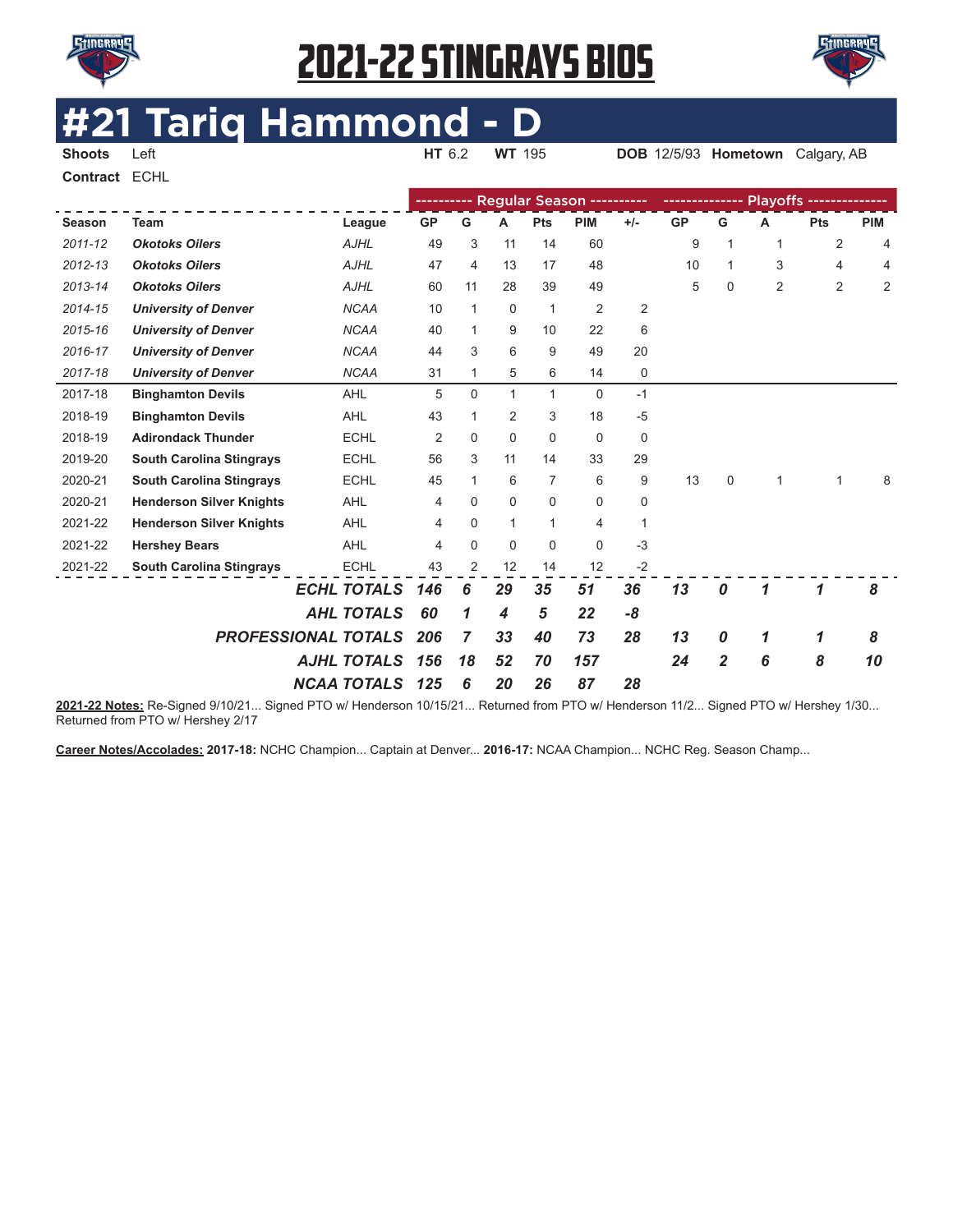



#### **#21 Tariq Hammond - D HT** 6.2 **WT** 195 **DOB** 12/5/93 **Hometown** Calgary, AB

**Contract** ECHL

|             |                                 |                    |           |                |              |              | ---------- Regular Season ---------- |              |           |                |                |                |            |
|-------------|---------------------------------|--------------------|-----------|----------------|--------------|--------------|--------------------------------------|--------------|-----------|----------------|----------------|----------------|------------|
| Season      | <b>Team</b>                     | League             | <b>GP</b> | G              | A            | Pts          | <b>PIM</b>                           | $+/-$        | <b>GP</b> | G              | A              | Pts            | <b>PIM</b> |
| $2011 - 12$ | <b>Okotoks Oilers</b>           | <b>AJHL</b>        | 49        | 3              | 11           | 14           | 60                                   |              | 9         | 1              | $\mathbf{1}$   | 2              | 4          |
| 2012-13     | <b>Okotoks Oilers</b>           | <b>AJHL</b>        | 47        | 4              | 13           | 17           | 48                                   |              | 10        | 1              | 3              | 4              | 4          |
| 2013-14     | <b>Okotoks Oilers</b>           | <b>AJHL</b>        | 60        | 11             | 28           | 39           | 49                                   |              | 5         | 0              | $\overline{2}$ | $\overline{2}$ | 2          |
| 2014-15     | <b>University of Denver</b>     | <b>NCAA</b>        | 10        | 1              | 0            | $\mathbf{1}$ | $\overline{2}$                       | 2            |           |                |                |                |            |
| 2015-16     | <b>University of Denver</b>     | <b>NCAA</b>        | 40        | $\mathbf{1}$   | 9            | 10           | 22                                   | 6            |           |                |                |                |            |
| 2016-17     | <b>University of Denver</b>     | <b>NCAA</b>        | 44        | 3              | 6            | 9            | 49                                   | 20           |           |                |                |                |            |
| 2017-18     | <b>University of Denver</b>     | <b>NCAA</b>        | 31        | 1.             | 5            | 6            | 14                                   | 0            |           |                |                |                |            |
| 2017-18     | <b>Binghamton Devils</b>        | <b>AHL</b>         | 5         | 0              | $\mathbf{1}$ | 1            | 0                                    | $-1$         |           |                |                |                |            |
| 2018-19     | <b>Binghamton Devils</b>        | <b>AHL</b>         | 43        | 1              | 2            | 3            | 18                                   | $-5$         |           |                |                |                |            |
| 2018-19     | <b>Adirondack Thunder</b>       | <b>ECHL</b>        | 2         | $\Omega$       | $\Omega$     | $\Omega$     | $\mathbf 0$                          | 0            |           |                |                |                |            |
| 2019-20     | <b>South Carolina Stingrays</b> | <b>ECHL</b>        | 56        | 3              | 11           | 14           | 33                                   | 29           |           |                |                |                |            |
| 2020-21     | <b>South Carolina Stingrays</b> | <b>ECHL</b>        | 45        | 1.             | 6            | 7            | 6                                    | 9            | 13        | $\mathbf 0$    | 1              | 1              | 8          |
| 2020-21     | <b>Henderson Silver Knights</b> | <b>AHL</b>         | 4         | 0              | 0            | $\mathbf 0$  | 0                                    | 0            |           |                |                |                |            |
| 2021-22     | <b>Henderson Silver Knights</b> | <b>AHL</b>         | 4         | 0              | $\mathbf{1}$ | 1            | 4                                    | $\mathbf{1}$ |           |                |                |                |            |
| 2021-22     | <b>Hershey Bears</b>            | <b>AHL</b>         | 4         | 0              | $\Omega$     | $\Omega$     | $\mathbf 0$                          | $-3$         |           |                |                |                |            |
| 2021-22     | <b>South Carolina Stingrays</b> | <b>ECHL</b>        | 43        | 2              | 12           | 14           | 12                                   | $-2$         |           |                |                |                |            |
|             |                                 | <b>ECHL TOTALS</b> | 146       | 6              | 29           | 35           | 51                                   | 36           | 13        | 0              |                | 1              | 8          |
|             |                                 | <b>AHL TOTALS</b>  | 60        | 1              | 4            | 5            | 22                                   | -8           |           |                |                |                |            |
|             | <b>PROFESSIONAL TOTALS</b>      |                    | 206       | $\overline{7}$ | 33           | 40           | 73                                   | 28           | 13        | 0              | 1              | 1              | 8          |
|             |                                 | <b>AJHL TOTALS</b> | 156       | 18             | 52           | 70           | 157                                  |              | 24        | $\overline{2}$ | 6              | 8              | 10         |
|             |                                 | <b>NCAA TOTALS</b> | 125       | 6              | 20           | 26           | 87                                   | 28           |           |                |                |                |            |

**2021-22 Notes:** Re-Signed 9/10/21... Signed PTO w/ Henderson 10/15/21... Returned from PTO w/ Henderson 11/2... Signed PTO w/ Hershey 1/30... Returned from PTO w/ Hershey 2/17

**Career Notes/Accolades: 2017-18:** NCHC Champion... Captain at Denver... **2016-17:** NCAA Champion... NCHC Reg. Season Champ...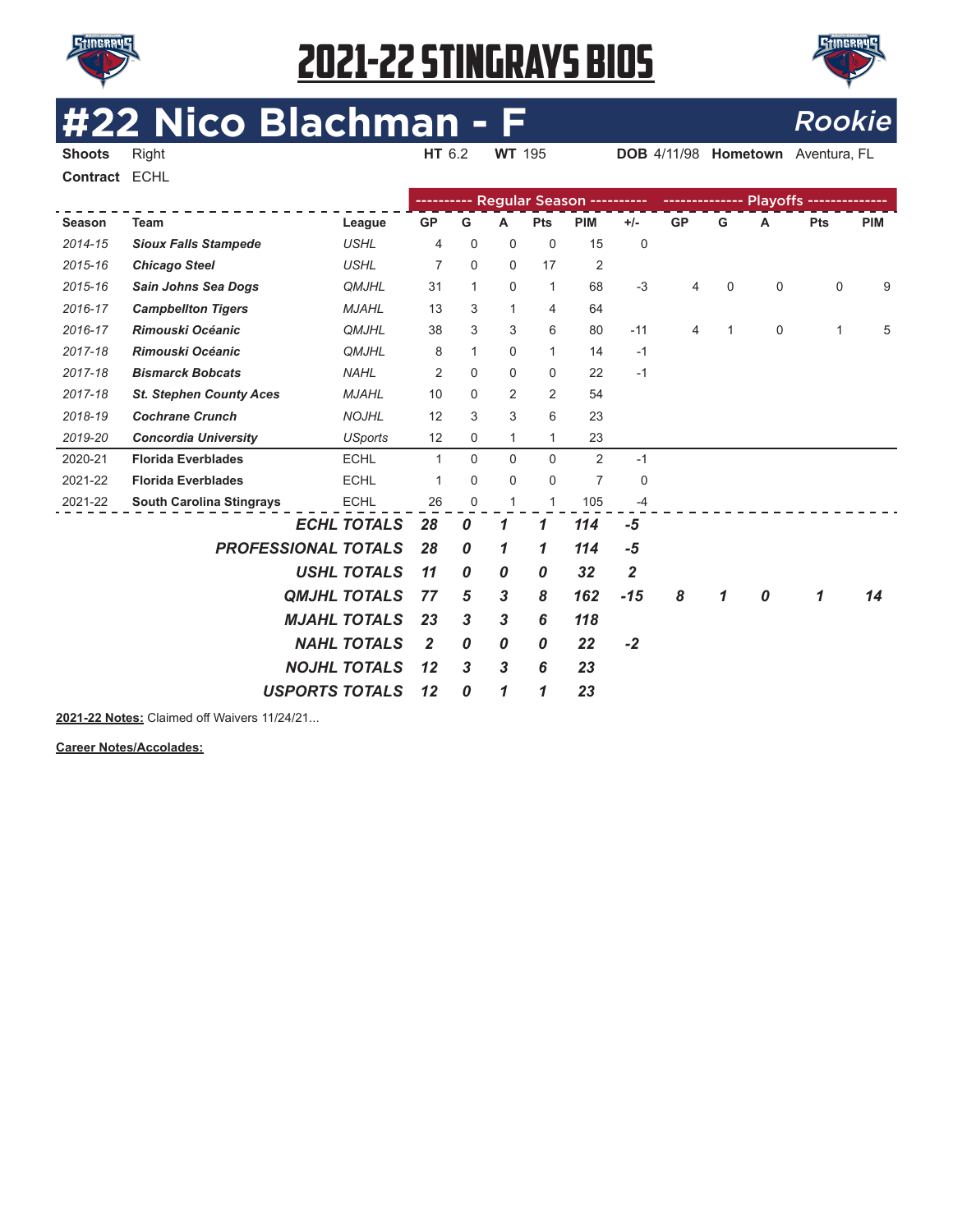

**Contract** ECHL

# 2021-22 STINGRAYS BIOS



# **#22 Nico Blachman - F**<br> **EXPORE AIR ROOKIE BLOCK AVELAGE AND ROOKIE**

**DOB** 4/11/98 **Hometown** Aventura, FL

|         |                                 |                       |                |                  |              |                | Regular Season ---------- |                         | -------------- |   |   | Playoffs -------------- |            |
|---------|---------------------------------|-----------------------|----------------|------------------|--------------|----------------|---------------------------|-------------------------|----------------|---|---|-------------------------|------------|
| Season  | Team                            | League                | <b>GP</b>      | G                | A            | Pts            | <b>PIM</b>                | $+/-$                   | <b>GP</b>      | G | Α | Pts                     | <b>PIM</b> |
| 2014-15 | <b>Sioux Falls Stampede</b>     | <b>USHL</b>           | 4              | 0                | $\mathbf 0$  | $\mathbf 0$    | 15                        | 0                       |                |   |   |                         |            |
| 2015-16 | <b>Chicago Steel</b>            | <b>USHL</b>           | 7              | 0                | $\mathbf 0$  | 17             | $\overline{2}$            |                         |                |   |   |                         |            |
| 2015-16 | Sain Johns Sea Dogs             | <b>QMJHL</b>          | 31             | 1                | $\mathbf 0$  | $\mathbf{1}$   | 68                        | $-3$                    | 4              | 0 | 0 | $\mathbf 0$             | 9          |
| 2016-17 | <b>Campbellton Tigers</b>       | <b>MJAHL</b>          | 13             | 3                | $\mathbf{1}$ | $\overline{4}$ | 64                        |                         |                |   |   |                         |            |
| 2016-17 | Rimouski Océanic                | <b>QMJHL</b>          | 38             | 3                | 3            | 6              | 80                        | $-11$                   | 4              | 1 | 0 | 1                       | 5          |
| 2017-18 | <b>Rimouski Océanic</b>         | <b>QMJHL</b>          | 8              | $\mathbf{1}$     | 0            | $\mathbf{1}$   | 14                        | $-1$                    |                |   |   |                         |            |
| 2017-18 | <b>Bismarck Bobcats</b>         | <b>NAHL</b>           | $\overline{2}$ | $\Omega$         | $\mathbf 0$  | $\mathbf 0$    | 22                        | $-1$                    |                |   |   |                         |            |
| 2017-18 | <b>St. Stephen County Aces</b>  | <b>MJAHL</b>          | 10             | $\Omega$         | 2            | 2              | 54                        |                         |                |   |   |                         |            |
| 2018-19 | <b>Cochrane Crunch</b>          | <b>NOJHL</b>          | 12             | 3                | 3            | 6              | 23                        |                         |                |   |   |                         |            |
| 2019-20 | <b>Concordia University</b>     | <b>USports</b>        | 12             | 0                | $\mathbf{1}$ | $\mathbf{1}$   | 23                        |                         |                |   |   |                         |            |
| 2020-21 | <b>Florida Everblades</b>       | <b>ECHL</b>           | $\mathbf{1}$   | $\Omega$         | $\Omega$     | $\Omega$       | 2                         | $-1$                    |                |   |   |                         |            |
| 2021-22 | <b>Florida Everblades</b>       | <b>ECHL</b>           | 1              | 0                | $\mathbf 0$  | $\mathbf 0$    | $\overline{7}$            | 0                       |                |   |   |                         |            |
| 2021-22 | <b>South Carolina Stingrays</b> | <b>ECHL</b>           | 26             | 0                | 1            | $\mathbf{1}$   | 105                       | $-4$                    |                |   |   |                         |            |
|         |                                 | <b>ECHL TOTALS</b>    | 28             | 0                | 1            | 1              | 114                       | $-5$                    |                |   |   |                         |            |
|         | <b>PROFESSIONAL TOTALS</b>      |                       | 28             | 0                | 1            | 1              | 114                       | $-5$                    |                |   |   |                         |            |
|         |                                 | <b>USHL TOTALS</b>    | 11             | 0                | 0            | 0              | 32                        | $\overline{\mathbf{2}}$ |                |   |   |                         |            |
|         |                                 | <b>QMJHL TOTALS</b>   | 77             | 5                | 3            | 8              | 162                       | $-15$                   | 8              | 1 | 0 | 1                       | 14         |
|         |                                 | <b>MJAHL TOTALS</b>   | 23             | $\boldsymbol{3}$ | 3            | 6              | 118                       |                         |                |   |   |                         |            |
|         |                                 | <b>NAHL TOTALS</b>    | 2              | 0                | 0            | 0              | 22                        | $-2$                    |                |   |   |                         |            |
|         |                                 | <b>NOJHL TOTALS</b>   | 12             | 3                | 3            | 6              | 23                        |                         |                |   |   |                         |            |
|         |                                 |                       |                |                  |              |                |                           |                         |                |   |   |                         |            |
|         |                                 | <b>USPORTS TOTALS</b> | 12             | 0                | 1            | 1              | 23                        |                         |                |   |   |                         |            |

**2021-22 Notes:** Claimed off Waivers 11/24/21...

**Career Notes/Accolades:**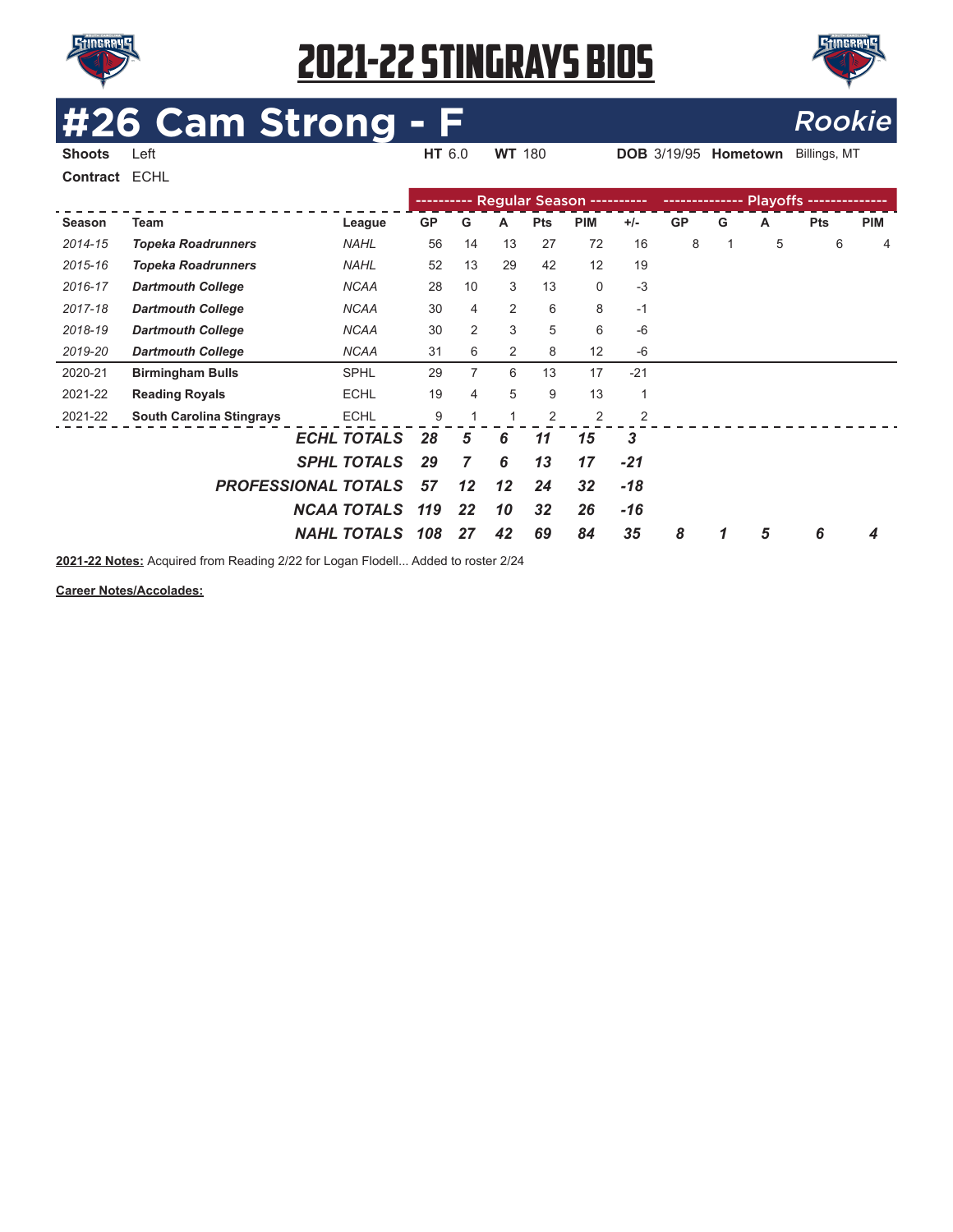



# **#26 Cam Strong - F**<br>Shoots Left **Express Left** Rookie

**DOB** 3/19/95 **Hometown** Billings, MT

**Contract** ECHL

|         |                                 |                            |           |                |    |            | ---------- Regular Season ---------- |                |           |   |   |            |            |
|---------|---------------------------------|----------------------------|-----------|----------------|----|------------|--------------------------------------|----------------|-----------|---|---|------------|------------|
| Season  | Team                            | League                     | <b>GP</b> | G              | A  | <b>Pts</b> | <b>PIM</b>                           | $+/-$          | <b>GP</b> | G | A | <b>Pts</b> | <b>PIM</b> |
| 2014-15 | <b>Topeka Roadrunners</b>       | <b>NAHL</b>                | 56        | 14             | 13 | 27         | 72                                   | 16             | 8         | 1 | 5 | 6          | 4          |
| 2015-16 | <b>Topeka Roadrunners</b>       | <b>NAHL</b>                | 52        | 13             | 29 | 42         | 12                                   | 19             |           |   |   |            |            |
| 2016-17 | <b>Dartmouth College</b>        | <b>NCAA</b>                | 28        | 10             | 3  | 13         | 0                                    | $-3$           |           |   |   |            |            |
| 2017-18 | <b>Dartmouth College</b>        | <b>NCAA</b>                | 30        | $\overline{4}$ | 2  | 6          | 8                                    | $-1$           |           |   |   |            |            |
| 2018-19 | <b>Dartmouth College</b>        | <b>NCAA</b>                | 30        | 2              | 3  | 5          | 6                                    | $-6$           |           |   |   |            |            |
| 2019-20 | <b>Dartmouth College</b>        | <b>NCAA</b>                | 31        | 6              | 2  | 8          | 12                                   | $-6$           |           |   |   |            |            |
| 2020-21 | <b>Birmingham Bulls</b>         | <b>SPHL</b>                | 29        | 7              | 6  | 13         | 17                                   | $-21$          |           |   |   |            |            |
| 2021-22 | <b>Reading Royals</b>           | <b>ECHL</b>                | 19        | 4              | 5  | 9          | 13                                   | 1              |           |   |   |            |            |
| 2021-22 | <b>South Carolina Stingrays</b> | <b>ECHL</b>                | 9         |                |    | 2          | $\overline{2}$                       | $\overline{2}$ |           |   |   |            |            |
|         |                                 | <b>ECHL TOTALS</b>         | 28        | 5              | 6  | 11         | 15                                   | 3              |           |   |   |            |            |
|         |                                 | <b>SPHL TOTALS</b>         | 29        | $\overline{7}$ | 6  | 13         | 17                                   | $-21$          |           |   |   |            |            |
|         |                                 | <b>PROFESSIONAL TOTALS</b> | 57        | 12             | 12 | 24         | 32                                   | $-18$          |           |   |   |            |            |
|         |                                 | <b>NCAA TOTALS</b>         | 119       | 22             | 10 | 32         | 26                                   | $-16$          |           |   |   |            |            |
|         |                                 | <b>NAHL TOTALS</b>         | 108       | 27             | 42 | 69         | 84                                   | 35             | 8         |   | 5 | 6          | 4          |

**2021-22 Notes:** Acquired from Reading 2/22 for Logan Flodell... Added to roster 2/24

**Career Notes/Accolades:**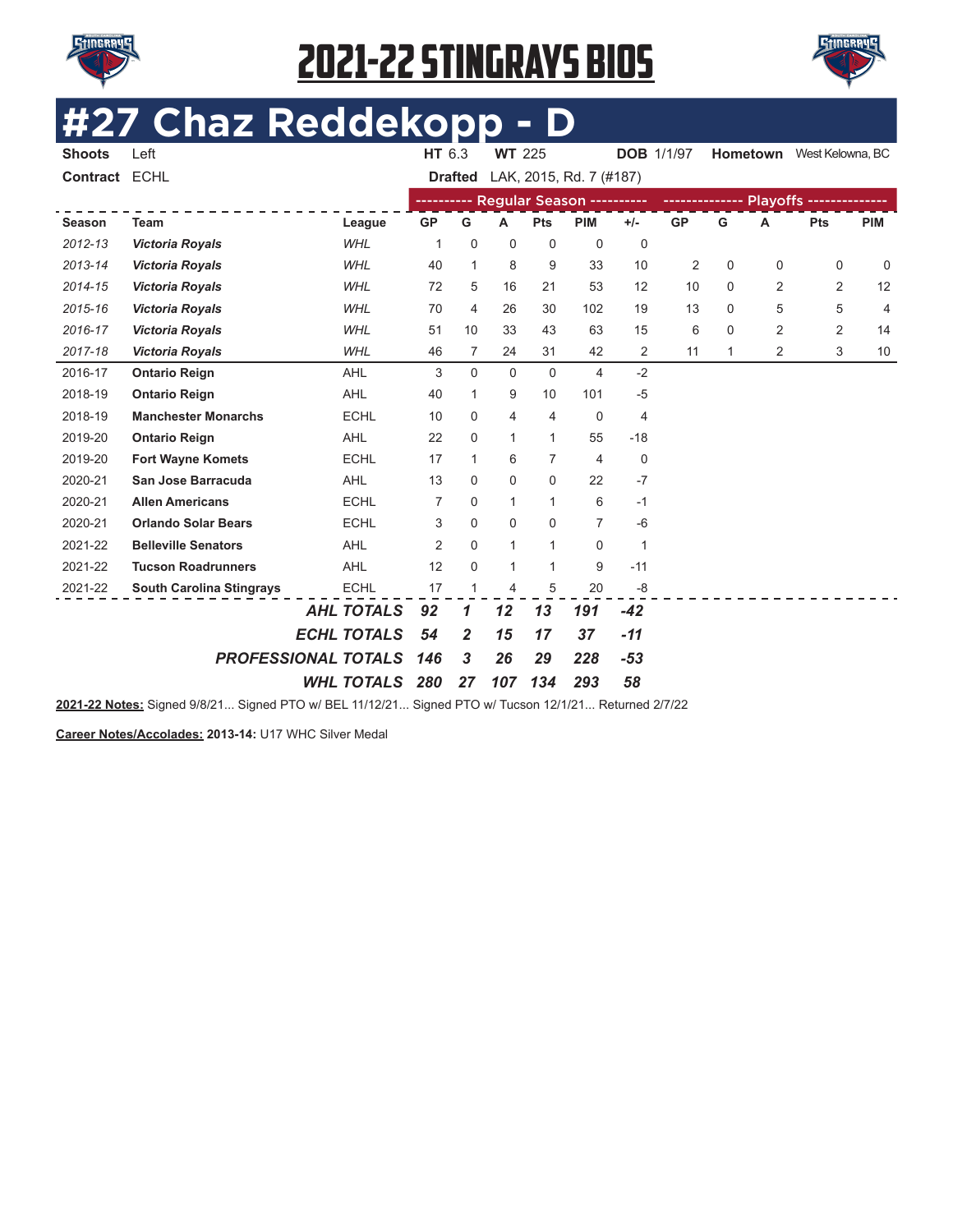



# **#27 Chaz Reddekopp - D**

| <b>Shoots</b> | Left                            |                    | HT 6.3         |                | <b>WT 225</b>  |                |                                      | <b>DOB</b> 1/1/97 |           |   | <b>Hometown</b> | West Kelowna, BC |                |
|---------------|---------------------------------|--------------------|----------------|----------------|----------------|----------------|--------------------------------------|-------------------|-----------|---|-----------------|------------------|----------------|
| Contract ECHL |                                 |                    |                | <b>Drafted</b> |                |                | LAK, 2015, Rd. 7 (#187)              |                   |           |   |                 |                  |                |
|               |                                 |                    |                |                |                |                | ---------- Regular Season ---------- |                   |           |   |                 |                  |                |
| Season        | <b>Team</b>                     | League             | <b>GP</b>      | G              | A              | Pts            | <b>PIM</b>                           | $+/-$             | <b>GP</b> | G | A               | Pts              | <b>PIM</b>     |
| 2012-13       | <b>Victoria Royals</b>          | <b>WHL</b>         | 1              | $\mathbf 0$    | $\mathbf 0$    | $\mathbf 0$    | $\mathbf 0$                          | $\mathbf 0$       |           |   |                 |                  |                |
| 2013-14       | <b>Victoria Royals</b>          | <b>WHL</b>         | 40             | $\mathbf{1}$   | 8              | 9              | 33                                   | 10                | 2         | 0 | 0               | 0                | 0              |
| 2014-15       | <b>Victoria Royals</b>          | <b>WHL</b>         | 72             | 5              | 16             | 21             | 53                                   | 12                | 10        | 0 | 2               | 2                | 12             |
| 2015-16       | <b>Victoria Royals</b>          | <b>WHL</b>         | 70             | 4              | 26             | 30             | 102                                  | 19                | 13        | 0 | 5               | 5                | $\overline{4}$ |
| 2016-17       | <b>Victoria Royals</b>          | <b>WHL</b>         | 51             | 10             | 33             | 43             | 63                                   | 15                | 6         | 0 | $\overline{2}$  | $\overline{2}$   | 14             |
| 2017-18       | <b>Victoria Royals</b>          | <b>WHL</b>         | 46             | 7              | 24             | 31             | 42                                   | 2                 | 11        | 1 | 2               | 3                | 10             |
| 2016-17       | <b>Ontario Reign</b>            | AHL                | 3              | $\mathbf{0}$   | $\Omega$       | $\mathbf 0$    | $\overline{4}$                       | $-2$              |           |   |                 |                  |                |
| 2018-19       | <b>Ontario Reign</b>            | AHL                | 40             | $\mathbf{1}$   | 9              | 10             | 101                                  | $-5$              |           |   |                 |                  |                |
| 2018-19       | <b>Manchester Monarchs</b>      | <b>ECHL</b>        | 10             | 0              | $\overline{4}$ | 4              | $\mathbf 0$                          | 4                 |           |   |                 |                  |                |
| 2019-20       | <b>Ontario Reign</b>            | AHL                | 22             | 0              | 1              | $\mathbf{1}$   | 55                                   | $-18$             |           |   |                 |                  |                |
| 2019-20       | <b>Fort Wayne Komets</b>        | <b>ECHL</b>        | 17             | 1              | 6              | $\overline{7}$ | 4                                    | $\mathbf 0$       |           |   |                 |                  |                |
| 2020-21       | San Jose Barracuda              | AHL                | 13             | $\Omega$       | 0              | 0              | 22                                   | $-7$              |           |   |                 |                  |                |
| 2020-21       | <b>Allen Americans</b>          | <b>ECHL</b>        | 7              | $\Omega$       | $\mathbf 1$    | $\mathbf{1}$   | 6                                    | $-1$              |           |   |                 |                  |                |
| 2020-21       | <b>Orlando Solar Bears</b>      | <b>ECHL</b>        | 3              | $\Omega$       | $\mathbf 0$    | 0              | $\overline{7}$                       | $-6$              |           |   |                 |                  |                |
| 2021-22       | <b>Belleville Senators</b>      | <b>AHL</b>         | $\overline{2}$ | $\Omega$       | $\mathbf{1}$   | $\mathbf{1}$   | $\mathbf 0$                          | 1                 |           |   |                 |                  |                |
| 2021-22       | <b>Tucson Roadrunners</b>       | AHL                | 12             | $\Omega$       | $\mathbf 1$    | $\mathbf{1}$   | 9                                    | $-11$             |           |   |                 |                  |                |
| 2021-22       | <b>South Carolina Stingrays</b> | <b>ECHL</b>        | 17             | 1              | 4              | 5              | 20                                   | -8                |           |   |                 |                  |                |
|               |                                 | <b>AHL TOTALS</b>  | 92             | 1              | 12             | 13             | 191                                  | $-42$             |           |   |                 |                  |                |
|               |                                 | <b>ECHL TOTALS</b> | 54             | 2              | 15             | 17             | 37                                   | $-11$             |           |   |                 |                  |                |
|               | <b>PROFESSIONAL TOTALS</b>      |                    | 146            | 3              | 26             | 29             | 228                                  | $-53$             |           |   |                 |                  |                |
|               |                                 | <b>WHL TOTALS</b>  | 280            | 27             | 107            | 134            | 293                                  | 58                |           |   |                 |                  |                |
|               |                                 |                    |                |                |                |                |                                      |                   |           |   |                 |                  |                |

**2021-22 Notes:** Signed 9/8/21... Signed PTO w/ BEL 11/12/21... Signed PTO w/ Tucson 12/1/21... Returned 2/7/22

**Career Notes/Accolades: 2013-14:** U17 WHC Silver Medal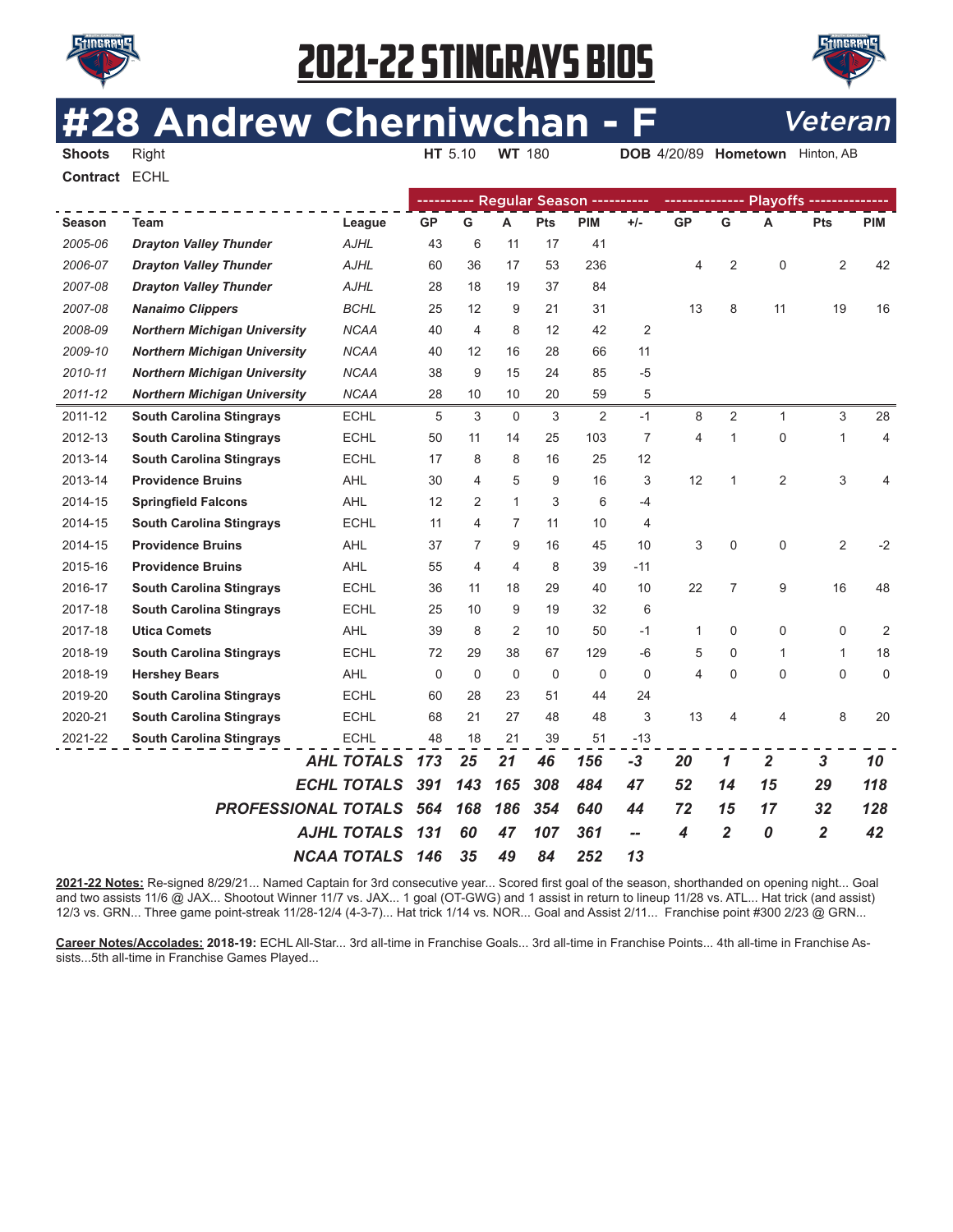



# **2 Andrew Cherniwchan - F** Veteran



**Shoots** Right **HT** 5.10 **WT** 180 **DOB** 4/20/89 **Hometown** Hinton, AB

**Contract** ECHL

|               |                                     |                            |           |                |              |             | ---------- Regular Season ---------- |                          |           |                |                |                |                |
|---------------|-------------------------------------|----------------------------|-----------|----------------|--------------|-------------|--------------------------------------|--------------------------|-----------|----------------|----------------|----------------|----------------|
| <b>Season</b> | <b>Team</b>                         | League                     | <b>GP</b> | G              | A            | Pts         | <b>PIM</b>                           | $+/-$                    | <b>GP</b> | G              | A              | Pts            | <b>PIM</b>     |
| 2005-06       | <b>Drayton Valley Thunder</b>       | <b>AJHL</b>                | 43        | 6              | 11           | 17          | 41                                   |                          |           |                |                |                |                |
| 2006-07       | <b>Drayton Valley Thunder</b>       | <b>AJHL</b>                | 60        | 36             | 17           | 53          | 236                                  |                          | 4         | 2              | $\mathbf 0$    | 2              | 42             |
| 2007-08       | <b>Drayton Valley Thunder</b>       | <b>AJHL</b>                | 28        | 18             | 19           | 37          | 84                                   |                          |           |                |                |                |                |
| 2007-08       | <b>Nanaimo Clippers</b>             | <b>BCHL</b>                | 25        | 12             | 9            | 21          | 31                                   |                          | 13        | 8              | 11             | 19             | 16             |
| 2008-09       | <b>Northern Michigan University</b> | <b>NCAA</b>                | 40        | $\overline{4}$ | 8            | 12          | 42                                   | 2                        |           |                |                |                |                |
| 2009-10       | <b>Northern Michigan University</b> | <b>NCAA</b>                | 40        | 12             | 16           | 28          | 66                                   | 11                       |           |                |                |                |                |
| 2010-11       | <b>Northern Michigan University</b> | <b>NCAA</b>                | 38        | 9              | 15           | 24          | 85                                   | $-5$                     |           |                |                |                |                |
| 2011-12       | <b>Northern Michigan University</b> | <b>NCAA</b>                | 28        | 10             | 10           | 20          | 59                                   | 5                        |           |                |                |                |                |
| 2011-12       | <b>South Carolina Stingrays</b>     | <b>ECHL</b>                | 5         | 3              | $\Omega$     | 3           | 2                                    | $-1$                     | 8         | $\overline{2}$ | $\mathbf{1}$   | 3              | 28             |
| 2012-13       | <b>South Carolina Stingrays</b>     | <b>ECHL</b>                | 50        | 11             | 14           | 25          | 103                                  | $\overline{7}$           | 4         | $\mathbf{1}$   | $\mathbf 0$    | 1              | 4              |
| 2013-14       | <b>South Carolina Stingrays</b>     | <b>ECHL</b>                | 17        | 8              | 8            | 16          | 25                                   | 12                       |           |                |                |                |                |
| 2013-14       | <b>Providence Bruins</b>            | <b>AHL</b>                 | 30        | $\overline{4}$ | 5            | 9           | 16                                   | 3                        | 12        | $\mathbf{1}$   | $\overline{2}$ | 3              | 4              |
| 2014-15       | <b>Springfield Falcons</b>          | <b>AHL</b>                 | 12        | $\overline{2}$ | $\mathbf{1}$ | 3           | 6                                    | -4                       |           |                |                |                |                |
| 2014-15       | <b>South Carolina Stingrays</b>     | <b>ECHL</b>                | 11        | 4              | 7            | 11          | 10                                   | $\overline{4}$           |           |                |                |                |                |
| 2014-15       | <b>Providence Bruins</b>            | <b>AHL</b>                 | 37        | 7              | 9            | 16          | 45                                   | 10                       | 3         | 0              | 0              | $\overline{2}$ | $-2$           |
| 2015-16       | <b>Providence Bruins</b>            | <b>AHL</b>                 | 55        | 4              | 4            | 8           | 39                                   | $-11$                    |           |                |                |                |                |
| 2016-17       | <b>South Carolina Stingrays</b>     | <b>ECHL</b>                | 36        | 11             | 18           | 29          | 40                                   | 10                       | 22        | 7              | 9              | 16             | 48             |
| 2017-18       | <b>South Carolina Stingrays</b>     | <b>ECHL</b>                | 25        | 10             | 9            | 19          | 32                                   | 6                        |           |                |                |                |                |
| 2017-18       | <b>Utica Comets</b>                 | <b>AHL</b>                 | 39        | 8              | 2            | 10          | 50                                   | $-1$                     | 1         | 0              | 0              | 0              | $\overline{2}$ |
| 2018-19       | <b>South Carolina Stingrays</b>     | <b>ECHL</b>                | 72        | 29             | 38           | 67          | 129                                  | $-6$                     | 5         | 0              | $\mathbf{1}$   | $\mathbf{1}$   | 18             |
| 2018-19       | <b>Hershey Bears</b>                | <b>AHL</b>                 | 0         | 0              | $\mathbf 0$  | $\mathbf 0$ | 0                                    | $\mathbf 0$              | 4         | 0              | $\mathbf 0$    | $\mathbf 0$    | $\mathbf 0$    |
| 2019-20       | <b>South Carolina Stingrays</b>     | <b>ECHL</b>                | 60        | 28             | 23           | 51          | 44                                   | 24                       |           |                |                |                |                |
| 2020-21       | <b>South Carolina Stingrays</b>     | <b>ECHL</b>                | 68        | 21             | 27           | 48          | 48                                   | 3                        | 13        | 4              | 4              | 8              | 20             |
| 2021-22       | <b>South Carolina Stingrays</b>     | <b>ECHL</b>                | 48        | 18             | 21           | 39          | 51                                   | $-13$                    |           |                |                |                |                |
|               |                                     | <b>AHL TOTALS</b>          | 173       | 25             | 21           | 46          | 156                                  | $-3$                     | 20        | $\mathbf 1$    | $\overline{2}$ | $\mathbf{3}$   | 10             |
|               |                                     | <b>ECHL TOTALS</b>         | 391       | 143            | 165          | 308         | 484                                  | 47                       | 52        | 14             | 15             | 29             | 118            |
|               |                                     | <b>PROFESSIONAL TOTALS</b> | 564       | 168            | 186          | 354         | 640                                  | 44                       | 72        | 15             | 17             | 32             | 128            |
|               |                                     | <b>AJHL TOTALS</b>         | 131       | 60             | 47           | 107         | 361                                  | $\overline{\phantom{a}}$ | 4         | $\overline{2}$ | 0              | $\overline{2}$ | 42             |
|               |                                     | <b>NCAA TOTALS</b>         | 146       | 35             | 49           | 84          | 252                                  | 13                       |           |                |                |                |                |
|               |                                     |                            |           |                |              |             |                                      |                          |           |                |                |                |                |

**2021-22 Notes:** Re-signed 8/29/21... Named Captain for 3rd consecutive year... Scored frst goal of the season, shorthanded on opening night... Goal and two assists 11/6 @ JAX... Shootout Winner 11/7 vs. JAX... 1 goal (OT-GWG) and 1 assist in return to lineup 11/28 vs. ATL... Hat trick (and assist) 12/3 vs. GRN... Three game point-streak 11/28-12/4 (4-3-7)... Hat trick 1/14 vs. NOR... Goal and Assist 2/11... Franchise point #300 2/23 @ GRN...

**Career Notes/Accolades: 2018-19:** ECHL All-Star... 3rd all-time in Franchise Goals... 3rd all-time in Franchise Points... 4th all-time in Franchise Assists...5th all-time in Franchise Games Played...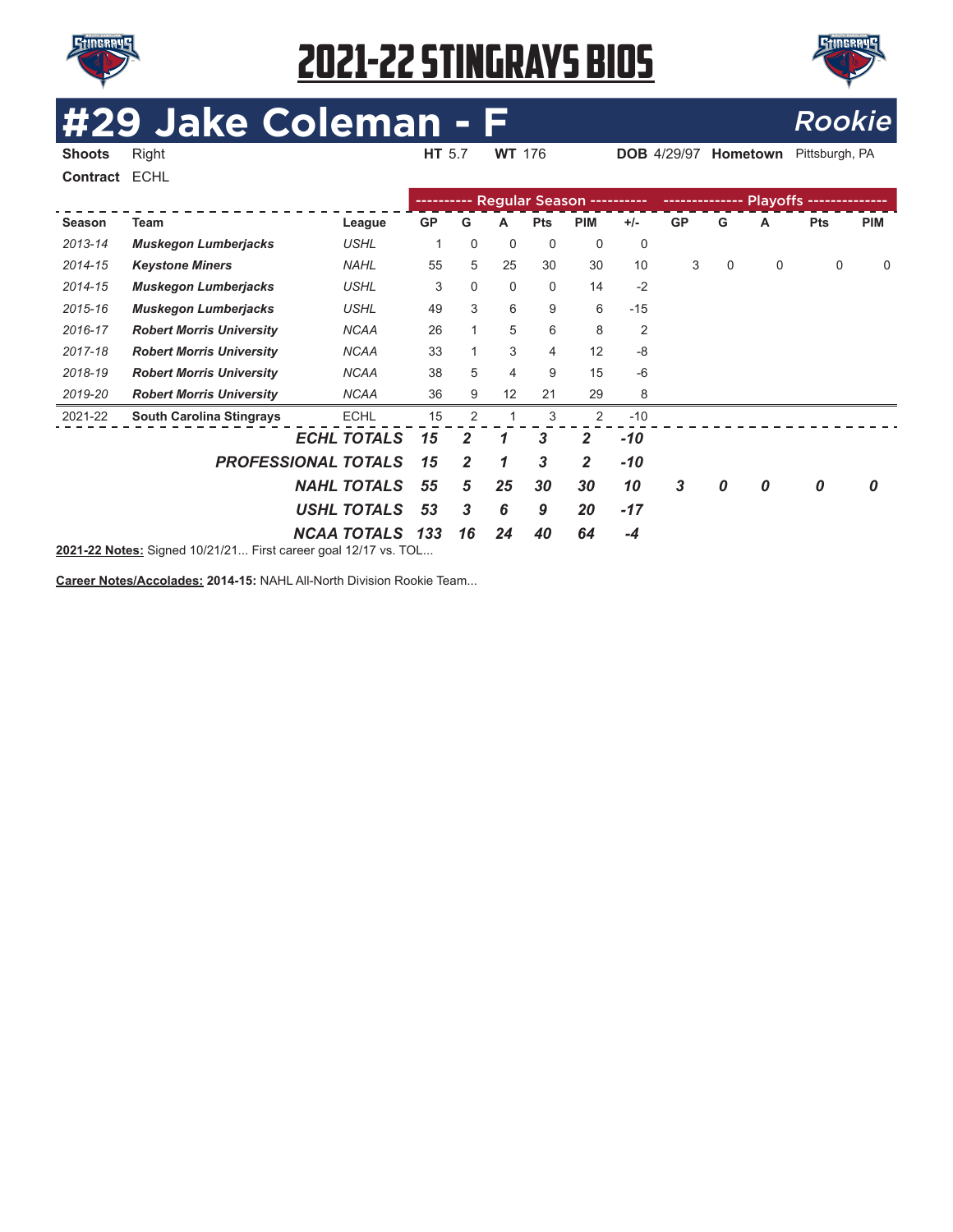

**Contract** ECHL

### 2021-22 STINGRAYS BIOS



# **429/97 Hometown Pittsburgh, PA COLEMAN - F** Rookie

**Shoots** Right **HT** 5.7 **WT** 176 **DOB** 4/29/97 **Hometown** Pittsburgh, PA

---------- Regular Season ---------- --------------- Playoffs -- - - - - - $\frac{1}{2}$ **Season Team League GP G A Pts PIM +/- GP G A Pts PIM** *2013-14 Muskegon Lumberjacks USHL* 1 0 0 0 0 0 *2014-15 Keystone Miners NAHL* 55 5 25 30 30 10 3 0 0 0 0 *2014-15 Muskegon Lumberjacks USHL* 3 0 0 0 14 -2 *2015-16 Muskegon Lumberjacks USHL* 49 3 6 9 6 -15 *2016-17 Robert Morris University NCAA* 26 1 5 6 8 2 *2017-18 Robert Morris University NCAA* 33 1 3 4 12 -8 *2018-19 Robert Morris University NCAA* 38 5 4 9 15 -6 *2019-20 Robert Morris University NCAA* 36 9 12 21 29 8 2021-22 **South Carolina Stingrays** ECHL 15 2 1 3 2 -10 *ECHL TOTALS 15 2 1 3 2 -10 PROFESSIONAL TOTALS 15 2 1 3 2 -10 NAHL TOTALS 55 5 25 30 30 10 3 0 0 0 0 USHL TOTALS 53 3 6 9 20 -17 NCAA TOTALS 133 16 24 40 64 -4* **2021-22 Notes:** Signed 10/21/21... First career goal 12/17 vs. TOL...

**Career Notes/Accolades: 2014-15:** NAHL All-North Division Rookie Team...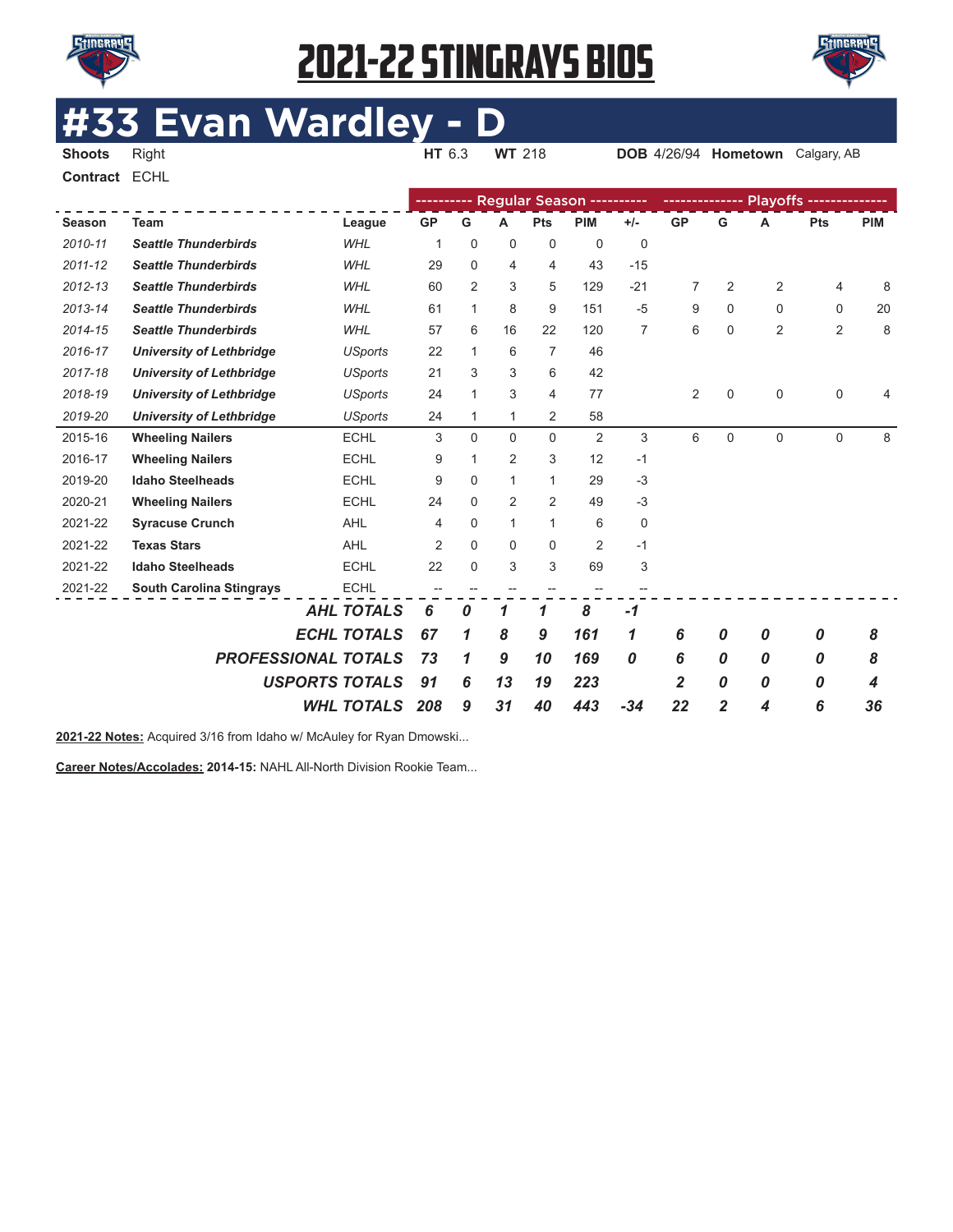

**Contract** ECHL

# 2021-22 STINGRAYS BIOS



# **#33 Evan Wardley - D**<br>Shoots Right

**DOB** 4/26/94 **Hometown** Calgary, AB

|               |                                 |                            |                |              |                |                | Regular Season ---------- |             |                |   |             | Playoffs -------------- |            |
|---------------|---------------------------------|----------------------------|----------------|--------------|----------------|----------------|---------------------------|-------------|----------------|---|-------------|-------------------------|------------|
| <b>Season</b> | <b>Team</b>                     | League                     | <b>GP</b>      | G            | А              | Pts            | <b>PIM</b>                | $+/-$       | <b>GP</b>      | G | Α           | Pts                     | <b>PIM</b> |
| 2010-11       | <b>Seattle Thunderbirds</b>     | <b>WHL</b>                 | 1              | 0            | $\mathbf 0$    | 0              | $\mathbf 0$               | $\mathbf 0$ |                |   |             |                         |            |
| $2011 - 12$   | <b>Seattle Thunderbirds</b>     | <b>WHL</b>                 | 29             | $\Omega$     | $\overline{4}$ | 4              | 43                        | $-15$       |                |   |             |                         |            |
| 2012-13       | <b>Seattle Thunderbirds</b>     | <b>WHL</b>                 | 60             | 2            | 3              | 5              | 129                       | $-21$       | 7              | 2 | 2           | 4                       | 8          |
| 2013-14       | <b>Seattle Thunderbirds</b>     | <b>WHL</b>                 | 61             | $\mathbf{1}$ | 8              | 9              | 151                       | $-5$        | 9              | 0 | $\mathbf 0$ | 0                       | 20         |
| 2014-15       | <b>Seattle Thunderbirds</b>     | <b>WHL</b>                 | 57             | 6            | 16             | 22             | 120                       | 7           | 6              | 0 | 2           | $\overline{2}$          | 8          |
| 2016-17       | <b>University of Lethbridge</b> | <b>USports</b>             | 22             | 1            | 6              | 7              | 46                        |             |                |   |             |                         |            |
| 2017-18       | <b>University of Lethbridge</b> | <b>USports</b>             | 21             | 3            | 3              | 6              | 42                        |             |                |   |             |                         |            |
| 2018-19       | <b>University of Lethbridge</b> | <b>USports</b>             | 24             | 1            | 3              | 4              | 77                        |             | $\overline{2}$ | 0 | $\mathbf 0$ | 0                       | 4          |
| 2019-20       | <b>University of Lethbridge</b> | <b>USports</b>             | 24             | 1            | 1              | 2              | 58                        |             |                |   |             |                         |            |
| 2015-16       | <b>Wheeling Nailers</b>         | <b>ECHL</b>                | 3              | $\Omega$     | 0              | 0              | $\overline{2}$            | 3           | 6              | 0 | $\mathbf 0$ | 0                       | 8          |
| 2016-17       | <b>Wheeling Nailers</b>         | <b>ECHL</b>                | 9              | 1            | 2              | 3              | 12                        | $-1$        |                |   |             |                         |            |
| 2019-20       | <b>Idaho Steelheads</b>         | <b>ECHL</b>                | 9              | $\Omega$     | 1              | $\mathbf{1}$   | 29                        | $-3$        |                |   |             |                         |            |
| 2020-21       | <b>Wheeling Nailers</b>         | <b>ECHL</b>                | 24             | $\Omega$     | $\overline{2}$ | $\overline{2}$ | 49                        | $-3$        |                |   |             |                         |            |
| 2021-22       | <b>Syracuse Crunch</b>          | AHL                        | 4              | $\Omega$     | 1              | $\mathbf{1}$   | 6                         | 0           |                |   |             |                         |            |
| 2021-22       | <b>Texas Stars</b>              | <b>AHL</b>                 | $\overline{2}$ | $\Omega$     | 0              | 0              | 2                         | $-1$        |                |   |             |                         |            |
| 2021-22       | <b>Idaho Steelheads</b>         | <b>ECHL</b>                | 22             | $\Omega$     | 3              | 3              | 69                        | 3           |                |   |             |                         |            |
| 2021-22       | <b>South Carolina Stingrays</b> | <b>ECHL</b>                |                |              |                |                |                           |             |                |   |             |                         |            |
|               |                                 | <b>AHL TOTALS</b>          | 6              | 0            | 1              | 1              | 8                         | $-1$        |                |   |             |                         |            |
|               |                                 | <b>ECHL TOTALS</b>         | 67             | 1            | 8              | 9              | 161                       | 1           | 6              | 0 | 0           | 0                       | 8          |
|               |                                 | <b>PROFESSIONAL TOTALS</b> | 73             | 1            | 9              | 10             | 169                       | 0           | 6              | 0 | 0           | 0                       | 8          |
|               |                                 | <b>USPORTS TOTALS</b>      | 91             | 6            | 13             | 19             | 223                       |             | 2              | 0 | 0           | 0                       | 4          |
|               |                                 | <b>WHL TOTALS</b>          | 208            | 9            | 31             | 40             | 443                       | $-34$       | 22             | 2 | 4           | 6                       | 36         |
|               |                                 |                            |                |              |                |                |                           |             |                |   |             |                         |            |

**2021-22 Notes:** Acquired 3/16 from Idaho w/ McAuley for Ryan Dmowski...

**Career Notes/Accolades: 2014-15:** NAHL All-North Division Rookie Team...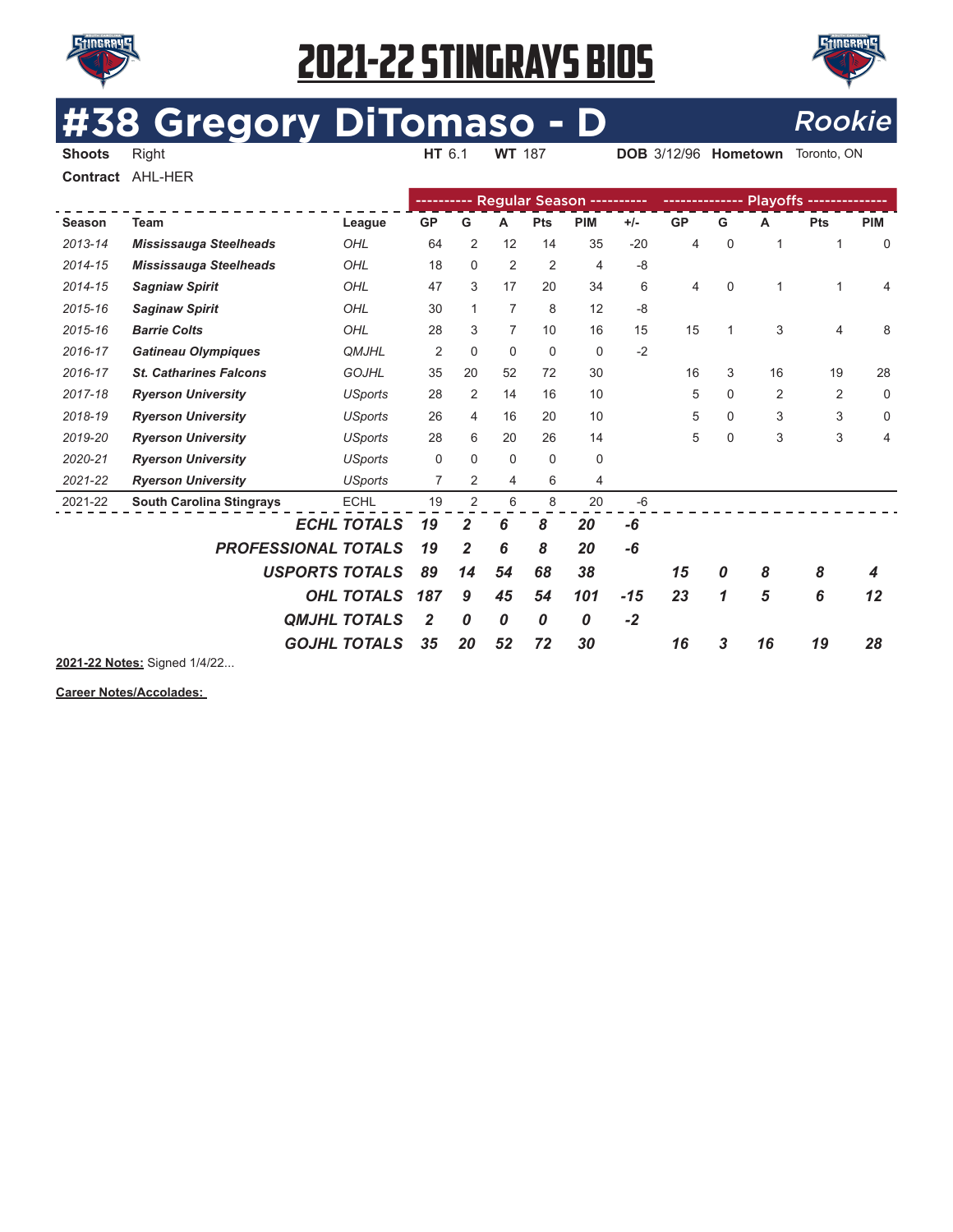



# **#38 Gregory DiTomaso - D** Rookie

**DOB** 3/12/96 **Hometown** Toronto, ON

**Contract** AHL-HER

|         |                                             |                     |           |                |                |                | ---------- Regular Season ---------- |       |                |              |    | --------------- |            |
|---------|---------------------------------------------|---------------------|-----------|----------------|----------------|----------------|--------------------------------------|-------|----------------|--------------|----|-----------------|------------|
| Season  | <b>Team</b>                                 | League              | <b>GP</b> | G              | A              | Pts            | <b>PIM</b>                           | $+/-$ | <b>GP</b>      | G            | A  | Pts             | <b>PIM</b> |
| 2013-14 | <b>Mississauga Steelheads</b>               | OHL                 | 64        | $\overline{2}$ | 12             | 14             | 35                                   | $-20$ | $\overline{4}$ | $\mathbf 0$  | 1  |                 | $\Omega$   |
| 2014-15 | <b>Mississauga Steelheads</b>               | OHL                 | 18        | 0              | $\overline{2}$ | $\overline{2}$ | 4                                    | $-8$  |                |              |    |                 |            |
| 2014-15 | <b>Sagniaw Spirit</b>                       | OHL                 | 47        | 3              | 17             | 20             | 34                                   | 6     | 4              | $\Omega$     |    |                 | 4          |
| 2015-16 | <b>Saginaw Spirit</b>                       | OHL                 | 30        | 1              | 7              | 8              | 12                                   | $-8$  |                |              |    |                 |            |
| 2015-16 | <b>Barrie Colts</b>                         | OHL                 | 28        | 3              | $\overline{7}$ | 10             | 16                                   | 15    | 15             | $\mathbf{1}$ | 3  | 4               | 8          |
| 2016-17 | <b>Gatineau Olympiques</b>                  | <b>QMJHL</b>        | 2         | 0              | 0              | 0              | 0                                    | $-2$  |                |              |    |                 |            |
| 2016-17 | <b>St. Catharines Falcons</b>               | <b>GOJHL</b>        | 35        | 20             | 52             | 72             | 30                                   |       | 16             | 3            | 16 | 19              | 28         |
| 2017-18 | <b>Ryerson University</b><br><b>USports</b> |                     | 28        | $\overline{2}$ | 14             | 16             | 10                                   |       | 5              | 0            | 2  | $\overline{2}$  | 0          |
| 2018-19 | <b>Ryerson University</b><br><b>USports</b> |                     | 26        | 4              | 16             | 20             | 10                                   |       | 5              | $\mathbf 0$  | 3  | 3               | $\Omega$   |
| 2019-20 | <b>Ryerson University</b>                   | <b>USports</b>      | 28        | 6              | 20             | 26             | 14                                   |       | 5              | 0            | 3  | 3               | 4          |
| 2020-21 | <b>Ryerson University</b>                   | <b>USports</b>      | $\Omega$  | 0              | 0              | $\Omega$       | 0                                    |       |                |              |    |                 |            |
| 2021-22 | <b>Ryerson University</b>                   | <b>USports</b>      | 7         | $\overline{2}$ | 4              | 6              | 4                                    |       |                |              |    |                 |            |
| 2021-22 | <b>South Carolina Stingrays</b>             | <b>ECHL</b>         | 19        | $\overline{2}$ | 6              | 8              | 20                                   | $-6$  |                |              |    |                 |            |
|         |                                             | <b>ECHL TOTALS</b>  | 19        | 2              | 6              | 8              | 20                                   | -6    |                |              |    |                 |            |
|         | <b>PROFESSIONAL TOTALS</b>                  |                     | 19        | $\overline{2}$ | 6              | 8              | 20                                   | -6    |                |              |    |                 |            |
|         | <b>USPORTS TOTALS</b>                       |                     | 89        | 14             | 54             | 68             | 38                                   |       | 15             | 0            | 8  | 8               | 4          |
|         |                                             | <b>OHL TOTALS</b>   | 187       | 9              | 45             | 54             | 101                                  | $-15$ | 23             | 1            | 5  | 6               | 12         |
|         |                                             | <b>QMJHL TOTALS</b> | 2         | $\pmb{0}$      | 0              | 0              | 0                                    | $-2$  |                |              |    |                 |            |
|         |                                             | <b>GOJHL TOTALS</b> | 35        | 20             | 52             | 72             | 30                                   |       | 16             | 3            | 16 | 19              | 28         |

**2021-22 Notes:** Signed 1/4/22...

**Career Notes/Accolades:**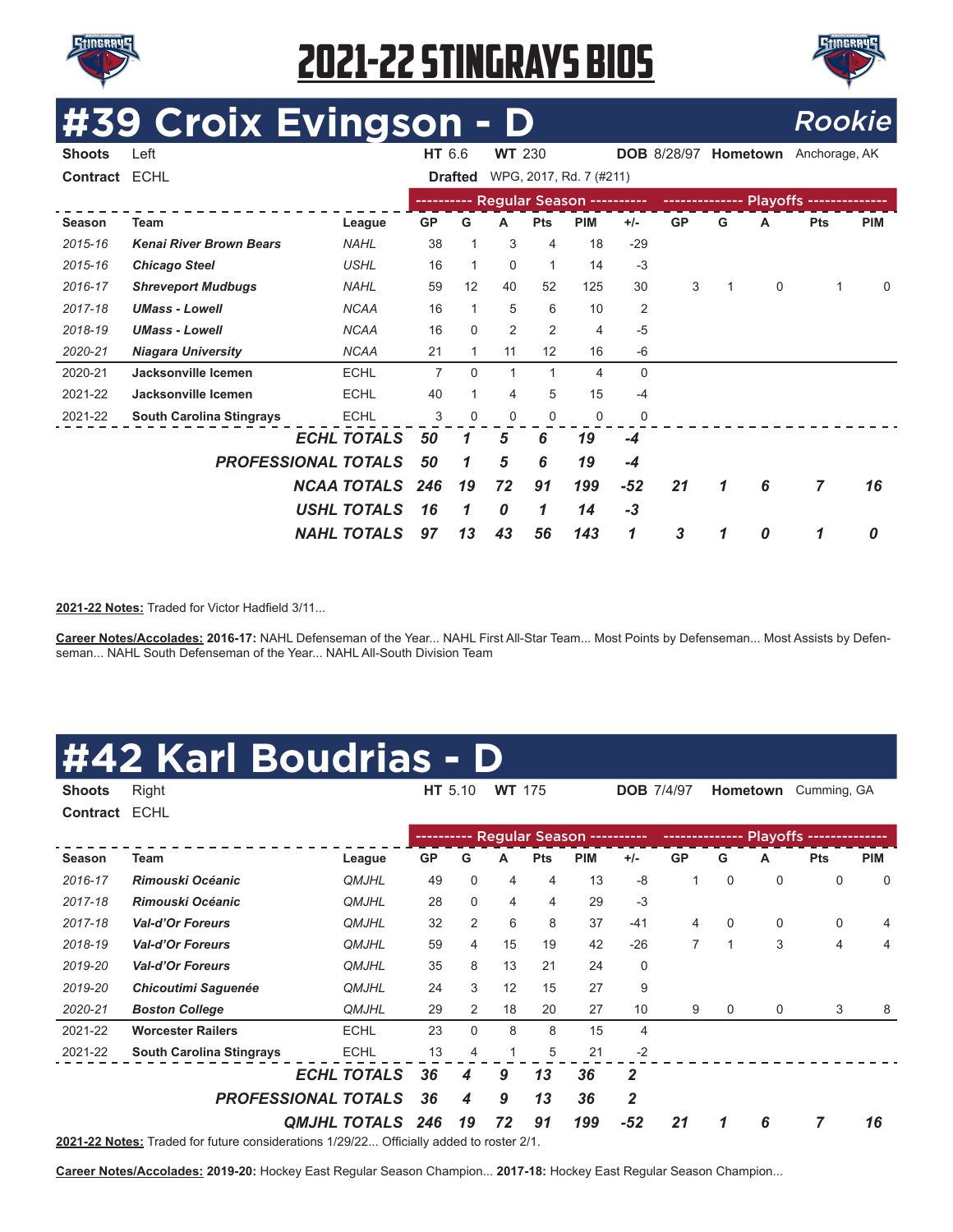



### **#39 Croix Evingson - D** Rookie

| <b>Shoots</b> | Left                            |                    | HT 6.6    |                | <b>WT 230</b> |            |                                      |                | <b>DOB</b> 8/28/97 |   | Hometown    | Anchorage, AK |             |
|---------------|---------------------------------|--------------------|-----------|----------------|---------------|------------|--------------------------------------|----------------|--------------------|---|-------------|---------------|-------------|
| Contract ECHL |                                 |                    |           | <b>Drafted</b> |               |            | WPG, 2017, Rd. 7 (#211)              |                |                    |   |             |               |             |
|               |                                 |                    |           |                |               |            | ---------- Regular Season ---------- |                |                    |   |             |               |             |
| Season        | <b>Team</b>                     | League             | <b>GP</b> | G              | A             | <b>Pts</b> | <b>PIM</b>                           | $+/-$          | <b>GP</b>          | G | A           | <b>Pts</b>    | <b>PIM</b>  |
| 2015-16       | <b>Kenai River Brown Bears</b>  | <b>NAHL</b>        | 38        |                | 3             | 4          | 18                                   | $-29$          |                    |   |             |               |             |
| 2015-16       | <b>Chicago Steel</b>            | <b>USHL</b>        | 16        |                | $\Omega$      | 1          | 14                                   | $-3$           |                    |   |             |               |             |
| 2016-17       | <b>Shreveport Mudbugs</b>       | <b>NAHL</b>        | 59        | 12             | 40            | 52         | 125                                  | 30             | 3                  |   | $\mathbf 0$ | 1             | $\mathbf 0$ |
| 2017-18       | <b>UMass - Lowell</b>           | <b>NCAA</b>        | 16        |                | 5             | 6          | 10                                   | $\overline{2}$ |                    |   |             |               |             |
| 2018-19       | <b>UMass - Lowell</b>           | <b>NCAA</b>        | 16        | $\Omega$       | 2             | 2          | 4                                    | $-5$           |                    |   |             |               |             |
| 2020-21       | <b>Niagara University</b>       | <b>NCAA</b>        | 21        |                | 11            | 12         | 16                                   | -6             |                    |   |             |               |             |
| 2020-21       | Jacksonville Icemen             | <b>ECHL</b>        | 7         | $\Omega$       | 1             | 1          | 4                                    | $\mathbf{0}$   |                    |   |             |               |             |
| 2021-22       | Jacksonville Icemen             | <b>ECHL</b>        | 40        |                | 4             | 5          | 15                                   | $-4$           |                    |   |             |               |             |
| 2021-22       | <b>South Carolina Stingrays</b> | <b>ECHL</b>        | 3         | 0              | 0             | 0          | 0                                    | $\mathbf 0$    |                    |   |             |               |             |
|               |                                 | <b>ECHL TOTALS</b> | 50        | 1              | 5             | 6          | 19                                   | -4             |                    |   |             |               |             |
|               | <b>PROFESSIONAL TOTALS</b>      |                    | 50        | 1              | 5             | 6          | 19                                   | $-4$           |                    |   |             |               |             |
|               |                                 | <b>NCAA TOTALS</b> | 246       | 19             | 72            | 91         | 199                                  | $-52$          | 21                 | 1 | 6           | 7             | 16          |
|               |                                 | <b>USHL TOTALS</b> | 16        | 1              | 0             | 1          | 14                                   | $-3$           |                    |   |             |               |             |
|               |                                 | <b>NAHL TOTALS</b> | 97        | 13             | 43            | 56         | 143                                  | 1              | 3                  |   | 0           | 1             | 0           |

2021-22 Notes: Traded for Victor Hadfield 3/11...

**Career Notes/Accolades: 2016-17:** NAHL Defenseman of the Year... NAHL First All-Star Team... Most Points by Defenseman... Most Assists by Defenseman... NAHL South Defenseman of the Year... NAHL All-South Division Team

#### **#42 Karl Boudrias - D**

| <b>Shoots</b>   | Right                           |                         |             | HT 5.10        | <b>WT</b> 175 |            |                           | <b>DOB 7/4/97</b> |                |             | <b>Hometown</b> | Cumming, GA             |            |
|-----------------|---------------------------------|-------------------------|-------------|----------------|---------------|------------|---------------------------|-------------------|----------------|-------------|-----------------|-------------------------|------------|
| <b>Contract</b> | <b>ECHL</b>                     |                         |             |                |               |            |                           |                   |                |             |                 |                         |            |
|                 |                                 |                         | ----------- |                |               |            | Regular Season ---------- |                   | -------------- |             |                 | Playoffs -------------- |            |
| Season          | Team                            | League                  | <b>GP</b>   | G              | А             | <b>Pts</b> | <b>PIM</b>                | $+/-$             | <b>GP</b>      | G           | A               | <b>Pts</b>              | <b>PIM</b> |
| 2016-17         | Rimouski Océanic                | <b>QMJHL</b>            | 49          | 0              | 4             | 4          | 13                        | $-8$              | 1              | $\Omega$    | $\mathbf 0$     | 0                       | 0          |
| 2017-18         | Rimouski Océanic                | <b>QMJHL</b>            | 28          | 0              | 4             | 4          | 29                        | $-3$              |                |             |                 |                         |            |
| 2017-18         | <b>Val-d'Or Foreurs</b>         | <b>QMJHL</b>            | 32          | $\overline{2}$ | 6             | 8          | 37                        | $-41$             | 4              | 0           | 0               | 0                       | 4          |
| 2018-19         | <b>Val-d'Or Foreurs</b>         | <b>QMJHL</b>            | 59          | 4              | 15            | 19         | 42                        | $-26$             | $\overline{7}$ | $\mathbf 1$ | 3               | 4                       | 4          |
| 2019-20         | <b>Val-d'Or Foreurs</b>         | <b>QMJHL</b>            | 35          | 8              | 13            | 21         | 24                        | 0                 |                |             |                 |                         |            |
| 2019-20         | <b>Chicoutimi Saguenée</b>      | <b>QMJHL</b>            | 24          | 3              | 12            | 15         | 27                        | 9                 |                |             |                 |                         |            |
| 2020-21         | <b>Boston College</b>           | <b>QMJHL</b>            | 29          | 2              | 18            | 20         | 27                        | 10                | 9              | 0           | 0               | 3                       | 8          |
| 2021-22         | <b>Worcester Railers</b>        | <b>ECHL</b>             | 23          | 0              | 8             | 8          | 15                        | 4                 |                |             |                 |                         |            |
| 2021-22         | <b>South Carolina Stingrays</b> | <b>ECHL</b>             | 13          | 4              | 1             | 5          | 21                        | $-2$              |                |             |                 |                         |            |
|                 |                                 | <b>ECHL TOTALS</b>      | 36          | 4              | 9             | 13         | 36                        | 2                 |                |             |                 |                         |            |
|                 | <b>PROFESSIONAL TOTALS</b>      |                         | 36          | 4              | 9             | 13         | 36                        | $\overline{2}$    |                |             |                 |                         |            |
|                 |                                 | <b>QMJHL TOTALS 246</b> |             | 19             | 72            | 91         | 199                       | $-52$             | 21             | 1           | 6               | 7                       | 16         |

**2021-22 Notes:** Traded for future considerations 1/29/22... Offcially added to roster 2/1.

**Career Notes/Accolades: 2019-20:** Hockey East Regular Season Champion... **2017-18:** Hockey East Regular Season Champion...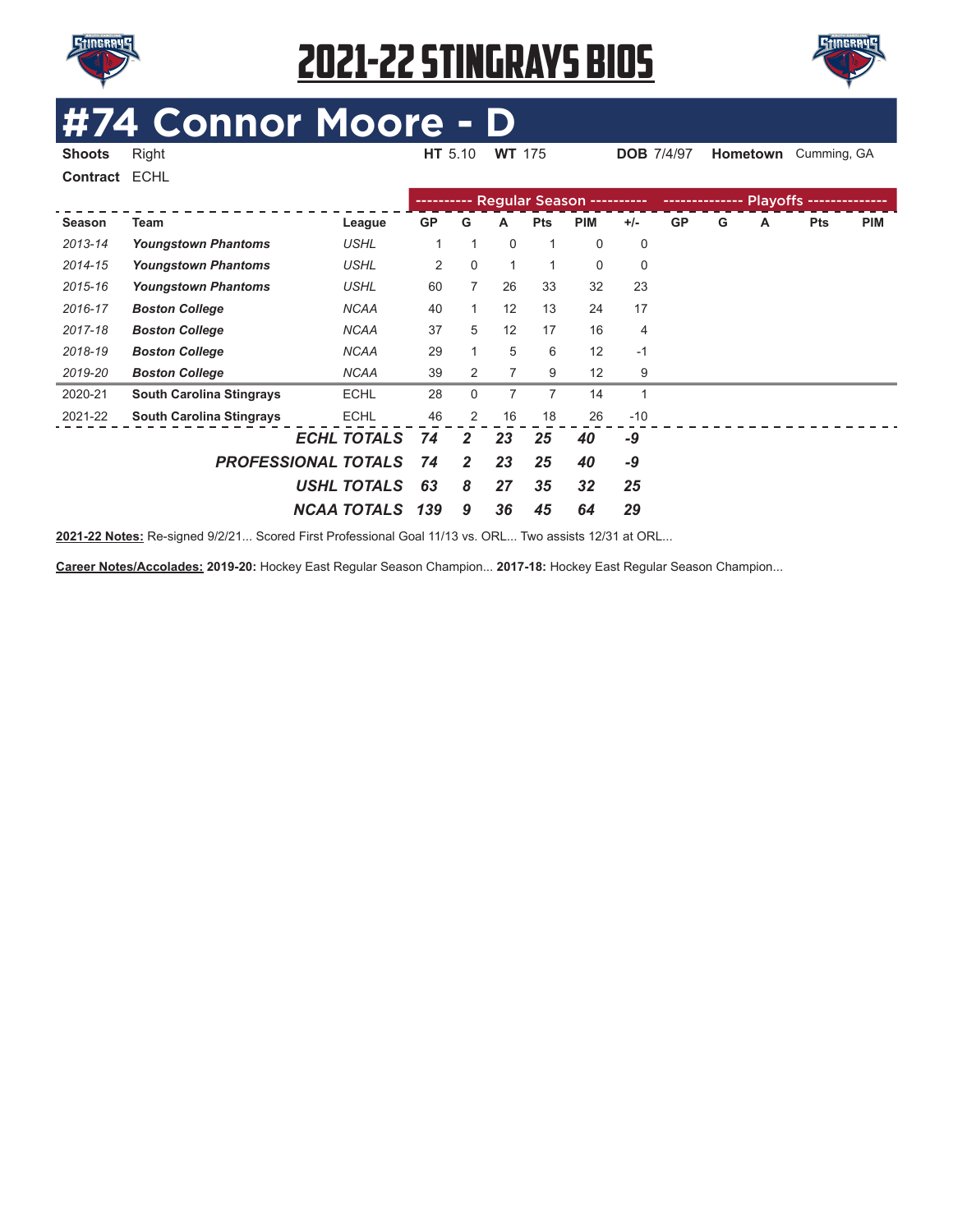



# **4 Connor Moore - D**<br>Right Man HT 5.10 WT 175

**Shoots** Right **HT** 5.10 **WT** 175 **DOB** 7/4/97 **Hometown** Cumming, GA

| Contract ECHL |                                 |                            |             |                |    |            |                           |       |           |   |   |            |            |
|---------------|---------------------------------|----------------------------|-------------|----------------|----|------------|---------------------------|-------|-----------|---|---|------------|------------|
|               |                                 |                            | ----------- |                |    |            | Regular Season ---------- |       |           |   |   |            |            |
| Season        | Team                            | League                     | GP          | G              | A  | <b>Pts</b> | <b>PIM</b>                | $+/-$ | <b>GP</b> | G | A | <b>Pts</b> | <b>PIM</b> |
| 2013-14       | <b>Youngstown Phantoms</b>      | <b>USHL</b>                |             | 1              | 0  | 1          | 0                         | 0     |           |   |   |            |            |
| 2014-15       | <b>Youngstown Phantoms</b>      | <b>USHL</b>                | 2           | 0              | 1  | 1          | 0                         | 0     |           |   |   |            |            |
| 2015-16       | <b>Youngstown Phantoms</b>      | <b>USHL</b>                | 60          | 7              | 26 | 33         | 32                        | 23    |           |   |   |            |            |
| 2016-17       | <b>Boston College</b>           | <b>NCAA</b>                | 40          | 1              | 12 | 13         | 24                        | 17    |           |   |   |            |            |
| 2017-18       | <b>Boston College</b>           | <b>NCAA</b>                | 37          | 5              | 12 | 17         | 16                        | 4     |           |   |   |            |            |
| 2018-19       | <b>Boston College</b>           | <b>NCAA</b>                | 29          |                | 5  | 6          | 12                        | $-1$  |           |   |   |            |            |
| 2019-20       | <b>Boston College</b>           | <b>NCAA</b>                | 39          | 2              | 7  | 9          | 12                        | 9     |           |   |   |            |            |
| 2020-21       | <b>South Carolina Stingrays</b> | <b>ECHL</b>                | 28          | 0              | 7  | 7          | 14                        | 1     |           |   |   |            |            |
| 2021-22       | <b>South Carolina Stingrays</b> | <b>ECHL</b>                | 46          | 2              | 16 | 18         | 26                        | $-10$ |           |   |   |            |            |
|               |                                 | <b>ECHL TOTALS</b>         | 74          | $\overline{2}$ | 23 | 25         | 40                        | -9    |           |   |   |            |            |
|               |                                 | <b>PROFESSIONAL TOTALS</b> | 74          | $\overline{2}$ | 23 | 25         | 40                        | -9    |           |   |   |            |            |
|               |                                 | <b>USHL TOTALS</b>         | 63          | 8              | 27 | 35         | 32                        | 25    |           |   |   |            |            |
|               |                                 | <b>NCAA TOTALS</b>         | 139         | 9              | 36 | 45         | 64                        | 29    |           |   |   |            |            |

**2021-22 Notes:** Re-signed 9/2/21... Scored First Professional Goal 11/13 vs. ORL... Two assists 12/31 at ORL...

**Career Notes/Accolades: 2019-20:** Hockey East Regular Season Champion... **2017-18:** Hockey East Regular Season Champion...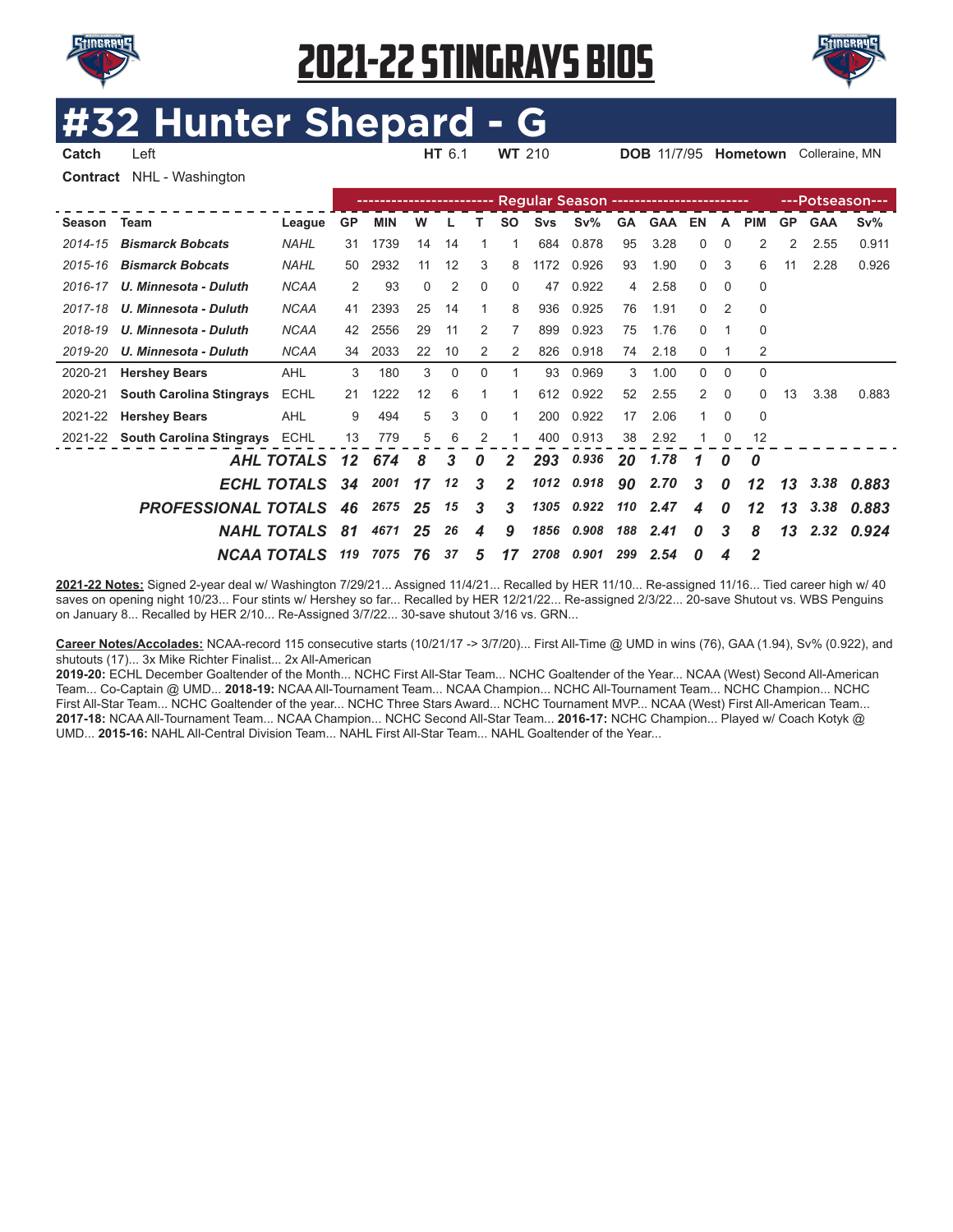



### **Hunter Shepard**

**Catch** Left **HT** 6.1 **WT** 210 **DOB** 11/7/95 **Hometown** Colleraine, MN **Contract** NHL - Washington

|             |                                  |                    |           |            |    |    |                  |              |            |        |           |            |                  |                |              |           |            | ---Potseason--- |
|-------------|----------------------------------|--------------------|-----------|------------|----|----|------------------|--------------|------------|--------|-----------|------------|------------------|----------------|--------------|-----------|------------|-----------------|
| Season Team |                                  | League             | <b>GP</b> | <b>MIN</b> | W  |    |                  | <b>SO</b>    | <b>Svs</b> | $Sv\%$ | <b>GA</b> | <b>GAA</b> | EN               | A              | <b>PIM</b>   | <b>GP</b> | <b>GAA</b> | $Sv\%$          |
| 2014-15     | <b>Bismarck Bobcats</b>          | <b>NAHL</b>        | 31        | 1739       | 14 | 14 |                  |              | 684        | 0.878  | 95        | 3.28       | 0                | $\Omega$       | 2            | 2         | 2.55       | 0.911           |
| 2015-16     | <b>Bismarck Bobcats</b>          | <b>NAHL</b>        | 50        | 2932       | 11 | 12 | 3                | 8            | 1172       | 0.926  | 93        | 1.90       | $\Omega$         | 3              | 6            | 11        | 2.28       | 0.926           |
| 2016-17     | U. Minnesota - Duluth            | <b>NCAA</b>        | 2         | 93         | 0  | 2  | 0                | 0            | 47         | 0.922  | 4         | 2.58       | 0                | $\Omega$       | $\Omega$     |           |            |                 |
| 2017-18     | U. Minnesota - Duluth            | <b>NCAA</b>        | 41        | 2393       | 25 | 14 | 1                | 8            | 936        | 0.925  | 76        | 1.91       | 0                | $\overline{2}$ | $\Omega$     |           |            |                 |
| 2018-19     | U. Minnesota - Duluth            | <b>NCAA</b>        | 42        | 2556       | 29 | 11 | 2                | 7            | 899        | 0.923  | 75        | 1.76       | 0                |                | $\Omega$     |           |            |                 |
| 2019-20     | U. Minnesota - Duluth            | <b>NCAA</b>        | 34        | 2033       | 22 | 10 | 2                | 2            | 826        | 0.918  | 74        | 2.18       | 0                |                | 2            |           |            |                 |
| 2020-21     | <b>Hershey Bears</b>             | <b>AHL</b>         | 3         | 180        | 3  | 0  | 0                |              | 93         | 0.969  | 3         | 1.00       | 0                | 0              | $\Omega$     |           |            |                 |
| 2020-21     | <b>South Carolina Stingrays</b>  | <b>ECHL</b>        | 21        | 1222       | 12 | 6  |                  |              | 612        | 0.922  | 52        | 2.55       | 2                | $\Omega$       | $\Omega$     | 13        | 3.38       | 0.883           |
| 2021-22     | <b>Hershey Bears</b>             | <b>AHL</b>         | 9         | 494        | 5  | 3  | 0                |              | 200        | 0.922  | 17        | 2.06       |                  | $\Omega$       | $\Omega$     |           |            |                 |
|             | 2021-22 South Carolina Stingrays | <b>ECHL</b>        | 13        | 779        | 5  | 6  | 2                |              | 400        | 0.913  | 38        | 2.92       |                  | 0              | 12           |           |            |                 |
|             |                                  | <b>AHL TOTALS</b>  | $12 \,$   | 674        | 8  | 3  | $\boldsymbol{0}$ | 2            | 293        | 0.936  | 20        | 1.78       | 1                | 0              | 0            |           |            |                 |
|             |                                  | <b>ECHL TOTALS</b> | 34        | 2001       | 17 | 12 | 3                | $\mathbf{2}$ | 1012       | 0.918  | 90        | 2.70       | 3                | 0              | 12           | 13        | 3,38       | 0.883           |
|             | <b>PROFESSIONAL TOTALS</b>       |                    | 46        | 2675       | 25 | 15 | 3                | 3            | 1305       | 0.922  | 110       | 2.47       | 4                | 0              | 12           | 13        | 3.38       | 0.883           |
|             |                                  | <b>NAHL TOTALS</b> | 81        | 4671       | 25 | 26 | 4                | 9            | 1856       | 0.908  | 188       | 2.41       | $\boldsymbol{0}$ | 3              | 8            | 13        | 2.32       | 0.924           |
|             | <b>NCAA TOTALS</b>               |                    | 119       | 7075       | 76 | 37 | 5                | 17           | 2708       | 0.901  | 299       | 2.54       | 0                | 4              | $\mathbf{2}$ |           |            |                 |

2021-22 Notes: Signed 2-year deal w/ Washington 7/29/21... Assigned 11/4/21... Recalled by HER 11/10... Re-assigned 11/16... Tied career high w/ 40 saves on opening night 10/23... Four stints w/ Hershey so far... Recalled by HER 12/21/22... Re-assigned 2/3/22... 20-save Shutout vs. WBS Penguins on January 8... Recalled by HER 2/10... Re-Assigned 3/7/22... 30-save shutout 3/16 vs. GRN...

**Career Notes/Accolades:** NCAA-record 115 consecutive starts (10/21/17 -> 3/7/20)... First All-Time @ UMD in wins (76), GAA (1.94), Sv% (0.922), and shutouts (17)... 3x Mike Richter Finalist... 2x All-American

**2019-20:** ECHL December Goaltender of the Month... NCHC First All-Star Team... NCHC Goaltender of the Year... NCAA (West) Second All-American Team... Co-Captain @ UMD... **2018-19:** NCAA All-Tournament Team... NCAA Champion... NCHC All-Tournament Team... NCHC Champion... NCHC First All-Star Team... NCHC Goaltender of the year... NCHC Three Stars Award... NCHC Tournament MVP... NCAA (West) First All-American Team... **2017-18:** NCAA All-Tournament Team... NCAA Champion... NCHC Second All-Star Team... **2016-17:** NCHC Champion... Played w/ Coach Kotyk @ UMD... **2015-16:** NAHL All-Central Division Team... NAHL First All-Star Team... NAHL Goaltender of the Year...